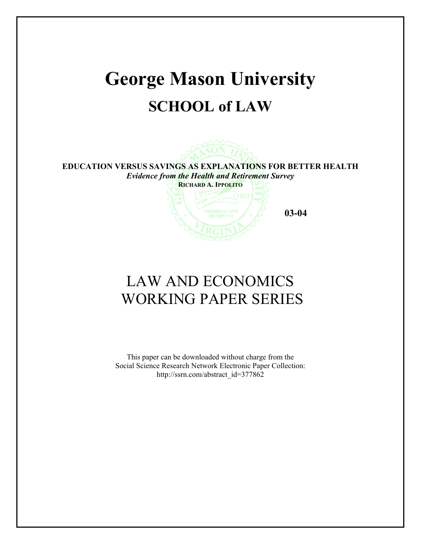# **George Mason University SCHOOL of LAW**



**EDUCATION VERSUS SAVINGS AS EXPLANATIONS FOR BETTER HEALTH**  *Evidence from the Health and Retirement Survey*  **RICHARD A. IPPOLITO**

**03-04** 

# LAW AND ECONOMICS WORKING PAPER SERIES

This paper can be downloaded without charge from the Social Science Research Network Electronic Paper Collection: http://ssrn.com/abstract\_id=377862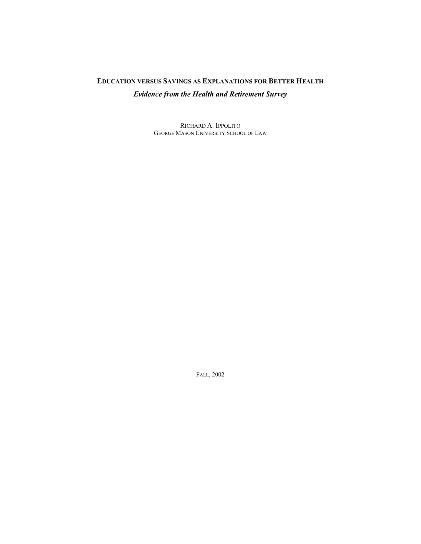## **EDUCATION VERSUS SAVINGS AS EXPLANATIONS FOR BETTER HEALTH** *Evidence from the Health and Retirement Survey*

RICHARD A. IPPOLITO GEORGE MASON UNIVERSITY SCHOOL OF LAW

FALL, 2002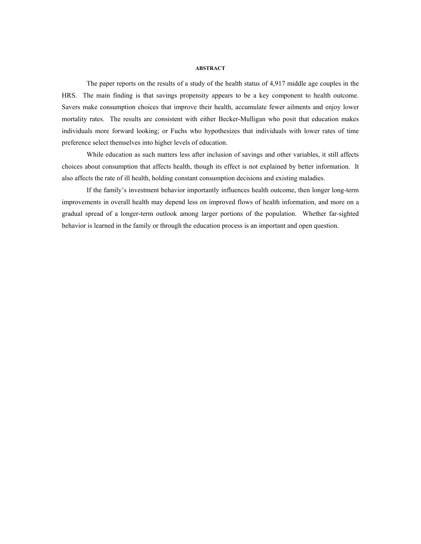#### **ABSTRACT**

The paper reports on the results of a study of the health status of 4,917 middle age couples in the HRS. The main finding is that savings propensity appears to be a key component to health outcome. Savers make consumption choices that improve their health, accumulate fewer ailments and enjoy lower mortality rates. The results are consistent with either Becker-Mulligan who posit that education makes individuals more forward looking; or Fuchs who hypothesizes that individuals with lower rates of time preference select themselves into higher levels of education.

While education as such matters less after inclusion of savings and other variables, it still affects choices about consumption that affects health, though its effect is not explained by better information. It also affects the rate of ill health, holding constant consumption decisions and existing maladies.

If the family's investment behavior importantly influences health outcome, then longer long-term improvements in overall health may depend less on improved flows of health information, and more on a gradual spread of a longer-term outlook among larger portions of the population. Whether far-sighted behavior is learned in the family or through the education process is an important and open question.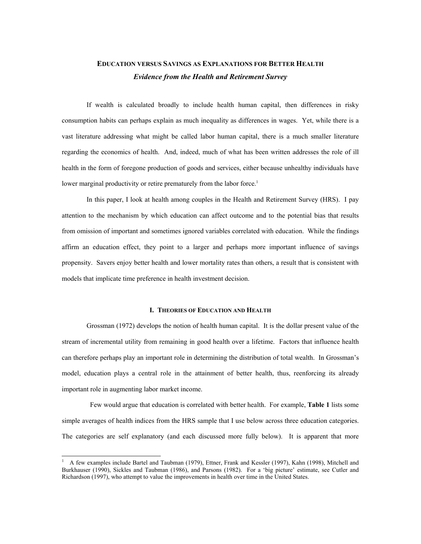### **EDUCATION VERSUS SAVINGS AS EXPLANATIONS FOR BETTER HEALTH** *Evidence from the Health and Retirement Survey*

If wealth is calculated broadly to include health human capital, then differences in risky consumption habits can perhaps explain as much inequality as differences in wages. Yet, while there is a vast literature addressing what might be called labor human capital, there is a much smaller literature regarding the economics of health. And, indeed, much of what has been written addresses the role of ill health in the form of foregone production of goods and services, either because unhealthy individuals have lower marginal productivity or retire prematurely from the labor force.<sup>1</sup>

In this paper, I look at health among couples in the Health and Retirement Survey (HRS). I pay attention to the mechanism by which education can affect outcome and to the potential bias that results from omission of important and sometimes ignored variables correlated with education. While the findings affirm an education effect, they point to a larger and perhaps more important influence of savings propensity. Savers enjoy better health and lower mortality rates than others, a result that is consistent with models that implicate time preference in health investment decision.

#### **I. THEORIES OF EDUCATION AND HEALTH**

Grossman (1972) develops the notion of health human capital. It is the dollar present value of the stream of incremental utility from remaining in good health over a lifetime. Factors that influence health can therefore perhaps play an important role in determining the distribution of total wealth. In Grossman's model, education plays a central role in the attainment of better health, thus, reenforcing its already important role in augmenting labor market income.

 Few would argue that education is correlated with better health. For example, **Table 1** lists some simple averages of health indices from the HRS sample that I use below across three education categories. The categories are self explanatory (and each discussed more fully below). It is apparent that more

1

<sup>1</sup> A few examples include Bartel and Taubman (1979), Ettner, Frank and Kessler (1997), Kahn (1998), Mitchell and Burkhauser (1990), Sickles and Taubman (1986), and Parsons (1982). For a 'big picture' estimate, see Cutler and Richardson (1997), who attempt to value the improvements in health over time in the United States.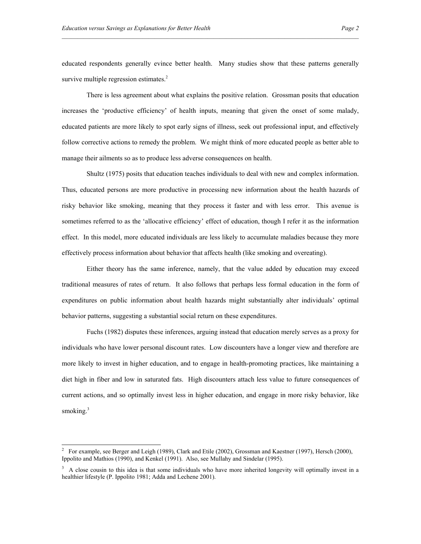educated respondents generally evince better health. Many studies show that these patterns generally survive multiple regression estimates.<sup>2</sup>

There is less agreement about what explains the positive relation. Grossman posits that education increases the 'productive efficiency' of health inputs, meaning that given the onset of some malady, educated patients are more likely to spot early signs of illness, seek out professional input, and effectively follow corrective actions to remedy the problem. We might think of more educated people as better able to manage their ailments so as to produce less adverse consequences on health.

Shultz (1975) posits that education teaches individuals to deal with new and complex information. Thus, educated persons are more productive in processing new information about the health hazards of risky behavior like smoking, meaning that they process it faster and with less error. This avenue is sometimes referred to as the 'allocative efficiency' effect of education, though I refer it as the information effect. In this model, more educated individuals are less likely to accumulate maladies because they more effectively process information about behavior that affects health (like smoking and overeating).

Either theory has the same inference, namely, that the value added by education may exceed traditional measures of rates of return. It also follows that perhaps less formal education in the form of expenditures on public information about health hazards might substantially alter individuals' optimal behavior patterns, suggesting a substantial social return on these expenditures.

Fuchs (1982) disputes these inferences, arguing instead that education merely serves as a proxy for individuals who have lower personal discount rates. Low discounters have a longer view and therefore are more likely to invest in higher education, and to engage in health-promoting practices, like maintaining a diet high in fiber and low in saturated fats. High discounters attach less value to future consequences of current actions, and so optimally invest less in higher education, and engage in more risky behavior, like smoking.<sup>3</sup>

 $\overline{a}$ 

<sup>&</sup>lt;sup>2</sup> For example, see Berger and Leigh (1989), Clark and Etile (2002), Grossman and Kaestner (1997), Hersch (2000), Ippolito and Mathios (1990), and Kenkel (1991). Also, see Mullahy and Sindelar (1995).

<sup>&</sup>lt;sup>3</sup> A close cousin to this idea is that some individuals who have more inherited longevity will optimally invest in a healthier lifestyle (P. Ippolito 1981; Adda and Lechene 2001).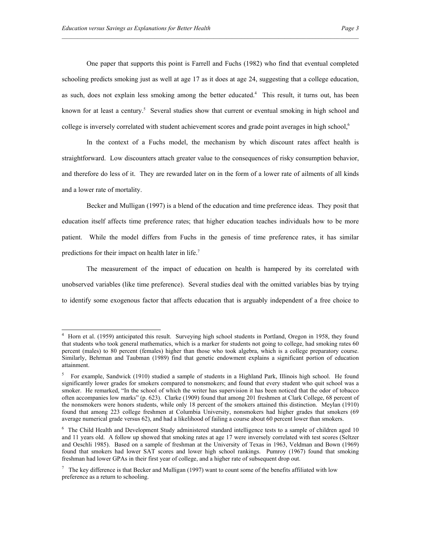One paper that supports this point is Farrell and Fuchs (1982) who find that eventual completed schooling predicts smoking just as well at age 17 as it does at age 24, suggesting that a college education, as such, does not explain less smoking among the better educated.<sup>4</sup> This result, it turns out, has been known for at least a century.<sup>5</sup> Several studies show that current or eventual smoking in high school and college is inversely correlated with student achievement scores and grade point averages in high school,<sup>6</sup>

In the context of a Fuchs model, the mechanism by which discount rates affect health is straightforward. Low discounters attach greater value to the consequences of risky consumption behavior, and therefore do less of it. They are rewarded later on in the form of a lower rate of ailments of all kinds and a lower rate of mortality.

Becker and Mulligan (1997) is a blend of the education and time preference ideas. They posit that education itself affects time preference rates; that higher education teaches individuals how to be more patient. While the model differs from Fuchs in the genesis of time preference rates, it has similar predictions for their impact on health later in life.<sup>7</sup>

The measurement of the impact of education on health is hampered by its correlated with unobserved variables (like time preference). Several studies deal with the omitted variables bias by trying to identify some exogenous factor that affects education that is arguably independent of a free choice to

 4 Horn et al. (1959) anticipated this result. Surveying high school students in Portland, Oregon in 1958, they found that students who took general mathematics, which is a marker for students not going to college, had smoking rates 60 percent (males) to 80 percent (females) higher than those who took algebra, which is a college preparatory course. Similarly, Behrman and Taubman (1989) find that genetic endowment explains a significant portion of education attainment.

<sup>5</sup> For example, Sandwick (1910) studied a sample of students in a Highland Park, Illinois high school. He found significantly lower grades for smokers compared to nonsmokers; and found that every student who quit school was a smoker. He remarked, "In the school of which the writer has supervision it has been noticed that the odor of tobacco often accompanies low marks" (p. 623). Clarke (1909) found that among 201 freshmen at Clark College, 68 percent of the nonsmokers were honors students, while only 18 percent of the smokers attained this distinction. Meylan (1910) found that among 223 college freshmen at Columbia University, nonsmokers had higher grades that smokers (69 average numerical grade versus 62), and had a likelihood of failing a course about 60 percent lower than smokers.

<sup>&</sup>lt;sup>6</sup> The Child Health and Development Study administered standard intelligence tests to a sample of children aged 10 and 11 years old. A follow up showed that smoking rates at age 17 were inversely correlated with test scores (Seltzer and Oeschli 1985). Based on a sample of freshman at the University of Texas in 1963, Veldman and Bown (1969) found that smokers had lower SAT scores and lower high school rankings. Pumroy (1967) found that smoking freshman had lower GPAs in their first year of college, and a higher rate of subsequent drop out.

The key difference is that Becker and Mulligan (1997) want to count some of the benefits affiliated with low preference as a return to schooling.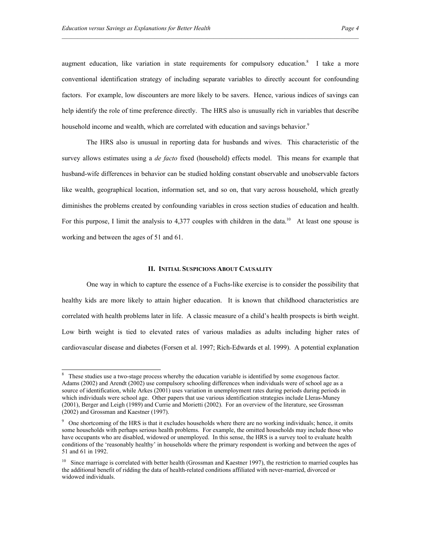$\overline{a}$ 

augment education, like variation in state requirements for compulsory education.<sup>8</sup> I take a more conventional identification strategy of including separate variables to directly account for confounding factors. For example, low discounters are more likely to be savers. Hence, various indices of savings can help identify the role of time preference directly. The HRS also is unusually rich in variables that describe household income and wealth, which are correlated with education and savings behavior.<sup>9</sup>

The HRS also is unusual in reporting data for husbands and wives. This characteristic of the survey allows estimates using a *de facto* fixed (household) effects model. This means for example that husband-wife differences in behavior can be studied holding constant observable and unobservable factors like wealth, geographical location, information set, and so on, that vary across household, which greatly diminishes the problems created by confounding variables in cross section studies of education and health. For this purpose, I limit the analysis to 4,377 couples with children in the data.<sup>10</sup> At least one spouse is working and between the ages of 51 and 61.

#### **II. INITIAL SUSPICIONS ABOUT CAUSALITY**

One way in which to capture the essence of a Fuchs-like exercise is to consider the possibility that healthy kids are more likely to attain higher education. It is known that childhood characteristics are correlated with health problems later in life. A classic measure of a child's health prospects is birth weight. Low birth weight is tied to elevated rates of various maladies as adults including higher rates of cardiovascular disease and diabetes (Forsen et al. 1997; Rich-Edwards et al. 1999). A potential explanation

<sup>&</sup>lt;sup>8</sup> These studies use a two-stage process whereby the education variable is identified by some exogenous factor. Adams (2002) and Arendt (2002) use compulsory schooling differences when individuals were of school age as a source of identification, while Arkes (2001) uses variation in unemployment rates during periods during periods in which individuals were school age. Other papers that use various identification strategies include Lleras-Muney (2001), Berger and Leigh (1989) and Currie and Morietti (2002). For an overview of the literature, see Grossman (2002) and Grossman and Kaestner (1997).

<sup>&</sup>lt;sup>9</sup> One shortcoming of the HRS is that it excludes households where there are no working individuals; hence, it omits some households with perhaps serious health problems. For example, the omitted households may include those who have occupants who are disabled, widowed or unemployed. In this sense, the HRS is a survey tool to evaluate health conditions of the 'reasonably healthy' in households where the primary respondent is working and between the ages of 51 and 61 in 1992.

 $10$  Since marriage is correlated with better health (Grossman and Kaestner 1997), the restriction to married couples has the additional benefit of ridding the data of health-related conditions affiliated with never-married, divorced or widowed individuals.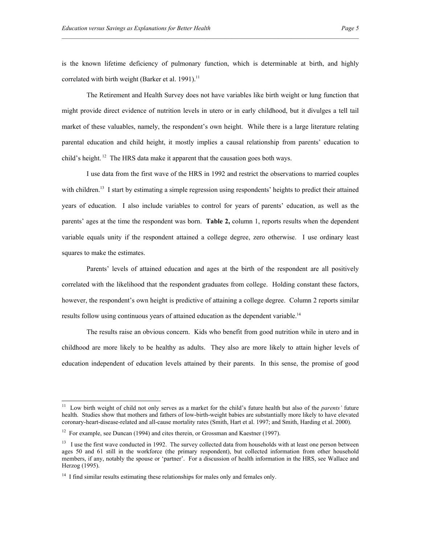is the known lifetime deficiency of pulmonary function, which is determinable at birth, and highly correlated with birth weight (Barker et al. 1991).<sup>11</sup>

The Retirement and Health Survey does not have variables like birth weight or lung function that might provide direct evidence of nutrition levels in utero or in early childhood, but it divulges a tell tail market of these valuables, namely, the respondent's own height. While there is a large literature relating parental education and child height, it mostly implies a causal relationship from parents' education to child's height. 12 The HRS data make it apparent that the causation goes both ways.

I use data from the first wave of the HRS in 1992 and restrict the observations to married couples with children.<sup>13</sup> I start by estimating a simple regression using respondents' heights to predict their attained years of education. I also include variables to control for years of parents' education, as well as the parents' ages at the time the respondent was born. **Table 2,** column 1, reports results when the dependent variable equals unity if the respondent attained a college degree, zero otherwise. I use ordinary least squares to make the estimates.

Parents' levels of attained education and ages at the birth of the respondent are all positively correlated with the likelihood that the respondent graduates from college. Holding constant these factors, however, the respondent's own height is predictive of attaining a college degree. Column 2 reports similar results follow using continuous years of attained education as the dependent variable.<sup>14</sup>

The results raise an obvious concern. Kids who benefit from good nutrition while in utero and in childhood are more likely to be healthy as adults. They also are more likely to attain higher levels of education independent of education levels attained by their parents. In this sense, the promise of good

 $\overline{a}$ 

<sup>11</sup> Low birth weight of child not only serves as a market for the child's future health but also of the *parents'* future health. Studies show that mothers and fathers of low-birth-weight babies are substantially more likely to have elevated coronary-heart-disease-related and all-cause mortality rates (Smith, Hart et al. 1997; and Smith, Harding et al. 2000).

<sup>&</sup>lt;sup>12</sup> For example, see Duncan (1994) and cites therein, or Grossman and Kaestner (1997).

<sup>&</sup>lt;sup>13</sup> I use the first wave conducted in 1992. The survey collected data from households with at least one person between ages 50 and 61 still in the workforce (the primary respondent), but collected information from other household members, if any, notably the spouse or 'partner'. For a discussion of health information in the HRS, see Wallace and Herzog (1995).

 $14$  I find similar results estimating these relationships for males only and females only.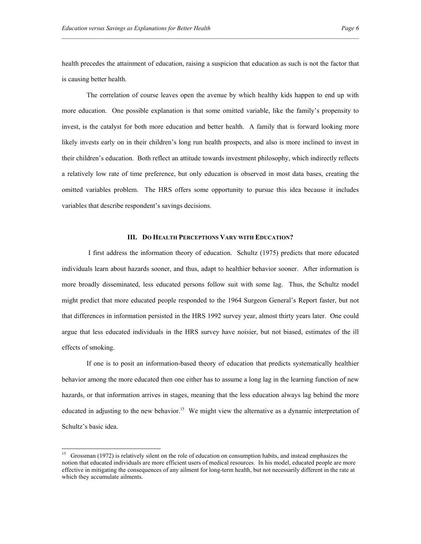health precedes the attainment of education, raising a suspicion that education as such is not the factor that is causing better health.

The correlation of course leaves open the avenue by which healthy kids happen to end up with more education. One possible explanation is that some omitted variable, like the family's propensity to invest, is the catalyst for both more education and better health. A family that is forward looking more likely invests early on in their children's long run health prospects, and also is more inclined to invest in their children's education. Both reflect an attitude towards investment philosophy, which indirectly reflects a relatively low rate of time preference, but only education is observed in most data bases, creating the omitted variables problem. The HRS offers some opportunity to pursue this idea because it includes variables that describe respondent's savings decisions.

#### **III. DO HEALTH PERCEPTIONS VARY WITH EDUCATION?**

 I first address the information theory of education. Schultz (1975) predicts that more educated individuals learn about hazards sooner, and thus, adapt to healthier behavior sooner. After information is more broadly disseminated, less educated persons follow suit with some lag. Thus, the Schultz model might predict that more educated people responded to the 1964 Surgeon General's Report faster, but not that differences in information persisted in the HRS 1992 survey year, almost thirty years later. One could argue that less educated individuals in the HRS survey have noisier, but not biased, estimates of the ill effects of smoking.

If one is to posit an information-based theory of education that predicts systematically healthier behavior among the more educated then one either has to assume a long lag in the learning function of new hazards, or that information arrives in stages, meaning that the less education always lag behind the more educated in adjusting to the new behavior.<sup>15</sup> We might view the alternative as a dynamic interpretation of Schultz's basic idea.

 $\overline{a}$ 

<sup>&</sup>lt;sup>15</sup> Grossman (1972) is relatively silent on the role of education on consumption habits, and instead emphasizes the notion that educated individuals are more efficient users of medical resources. In his model, educated people are more effective in mitigating the consequences of any ailment for long-term health, but not necessarily different in the rate at which they accumulate ailments.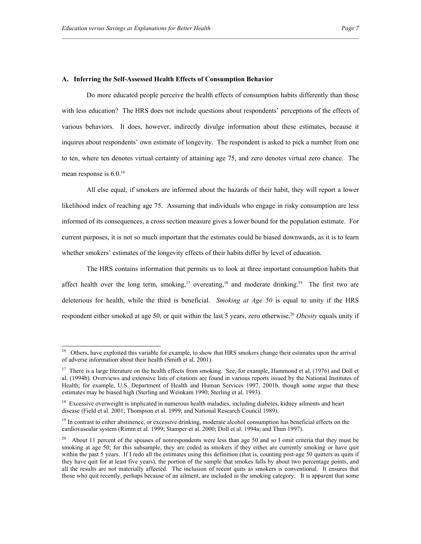#### **A. Inferring the Self-Assessed Health Effects of Consumption Behavior**

Do more educated people perceive the health effects of consumption habits differently than those with less education? The HRS does not include questions about respondents' perceptions of the effects of various behaviors. It does, however, indirectly divulge information about these estimates, because it inquires about respondents' own estimate of longevity. The respondent is asked to pick a number from one to ten, where ten denotes virtual certainty of attaining age 75, and zero denotes virtual zero chance. The mean response is  $6.0^{16}$ 

All else equal, if smokers are informed about the hazards of their habit, they will report a lower likelihood index of reaching age 75. Assuming that individuals who engage in risky consumption are less informed of its consequences, a cross section measure gives a lower bound for the population estimate. For current purposes, it is not so much important that the estimates could be biased downwards, as it is to learn whether smokers' estimates of the longevity effects of their habits differ by level of education.

The HRS contains information that permits us to look at three important consumption habits that affect health over the long term, smoking,<sup>17</sup> overeating,<sup>18</sup> and moderate drinking.<sup>19</sup> The first two are deleterious for health, while the third is beneficial. *Smoking at Age 50* is equal to unity if the HRS respondent either smoked at age 50, or quit within the last 5 years, zero otherwise.<sup>20</sup> Obesity equals unity if

 $16\,$ 16 Others, have exploited this variable for example, to show that HRS smokers change their estimates upon the arrival of adverse information about their health (Smith et al. 2001).

<sup>&</sup>lt;sup>17</sup> There is a large literature on the health effects from smoking. See, for example, Hammond et al. (1976) and Doll et al. (1994b). Overviews and extensive lists of citations are found in various reports issued by the National Institutes of Health; for example, U.S. Department of Health and Human Services 1997, 2001b, though some argue that these estimates may be biased high (Sterling and Weinkam 1990; Sterling et al. 1993).

<sup>&</sup>lt;sup>18</sup> Excessive overweight is implicated in numerous health maladies, including diabetes, kidney ailments and heart disease (Field et al. 2001; Thompson et al. 1999; and National Research Council 1989).

 $<sup>19</sup>$  In contrast to either abstinence, or excessive drinking, moderate alcohol consumption has beneficial effects on the</sup> cardiovascular system (Rimm et al. 1999; Stamper et al. 2000; Doll et al. 1994a; and Thun 1997).

<sup>&</sup>lt;sup>20</sup> About 11 percent of the spouses of nonrespondents were less than age 50 and so I omit criteria that they must be smoking at age 50; for this subsample, they are coded as smokers if they either are currently smoking or have quit within the past 5 years. If I redo all the estimates using this definition (that is, counting post-age 50 quitters as quits if they have quit for at least five years), the portion of the sample that smokes falls by about two percentage points, and all the results are not materially affected. The inclusion of recent quits as smokers is conventional. It ensures that those who quit recently, perhaps because of an ailment, are included in the smoking category. It is apparent that some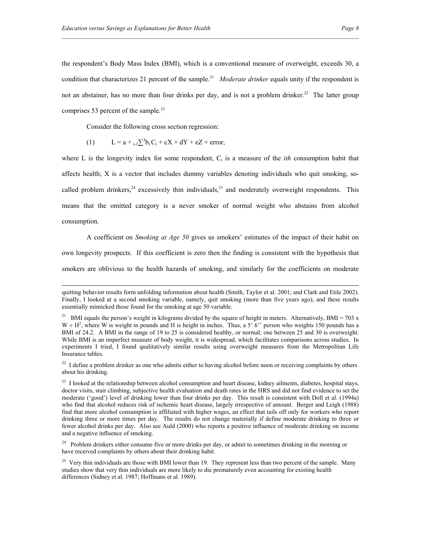the respondent's Body Mass Index (BMI), which is a conventional measure of overweight, exceeds 30, a condition that characterizes 21 percent of the sample.<sup>21</sup> *Moderate drinker* equals unity if the respondent is not an abstainer, has no more than four drinks per day, and is not a problem drinker.<sup>22</sup> The latter group comprises 53 percent of the sample.<sup>23</sup>

Consider the following cross section regression:

-

(1) 
$$
L = a + {}_{i-1}\sum^{3} b_i C_i + cX + dY + eZ + error,
$$

where L is the longevity index for some respondent,  $C_i$  is a measure of the *ith* consumption habit that affects health; X is a vector that includes dummy variables denoting individuals who quit smoking, socalled problem drinkers,<sup>24</sup> excessively thin individuals,<sup>25</sup> and moderately overweight respondents. This means that the omitted category is a never smoker of normal weight who abstains from alcohol consumption.

A coefficient on *Smoking at Age 50* gives us smokers' estimates of the impact of their habit on own longevity prospects. If this coefficient is zero then the finding is consistent with the hypothesis that smokers are oblivious to the health hazards of smoking, and similarly for the coefficients on moderate

quitting behavior results form unfolding information about health (Smith, Taylor et al. 2001; and Clark and Etile 2002). Finally, I looked at a second smoking variable, namely, quit smoking (more than five years ago), and these results essentially mimicked those found for the smoking at age 50 variable.

<sup>&</sup>lt;sup>21</sup> BMI equals the person's weight in kilograms divided by the square of height in meters. Alternatively, BMI = 703 x  $W \div H^2$ , where W is weight in pounds and H is height in inches. Thus, a 5' 6" person who weights 150 pounds has a BMI of 24.2. A BMI in the range of 19 to 25 is considered healthy, or normal; one between 25 and 30 is overweight. While BMI is an imperfect measure of body weight, it is widespread, which facilitates comparisons across studies. In experiments I tried, I found qualitatively similar results using overweight measures from the Metropolitan Life Insurance tables.

<sup>&</sup>lt;sup>22</sup> I define a problem drinker as one who admits either to having alcohol before noon or receiving complaints by others about his drinking.

 $^{23}$  I looked at the relationship between alcohol consumption and heart disease, kidney ailments, diabetes, hospital stays, doctor visits, stair climbing, subjective health evaluation and death rates in the HRS and did not find evidence to set the moderate ('good') level of drinking lower than four drinks per day. This result is consistent with Doll et al. (1994a) who find that alcohol reduces risk of ischemic heart disease, largely irrespective of amount. Berger and Leigh (1988) find that more alcohol consumption is affiliated with higher wages, an effect that tails off only for workers who report drinking three or more times per day. The results do not change materially if define moderate drinking to three or fewer alcohol drinks per day. Also see Auld (2000) who reports a positive influence of moderate drinking on income and a negative influence of smoking.

<sup>&</sup>lt;sup>24</sup> Problem drinkers either consume five or more drinks per day, or admit to sometimes drinking in the morning or have received complaints by others about their drinking habit.

<sup>&</sup>lt;sup>25</sup> Very thin individuals are those with BMI lower than 19. They represent less than two percent of the sample. Many studies show that very thin individuals are more likely to die prematurely even accounting for existing health differences (Sidney et al. 1987; Hoffmans et al. 1989).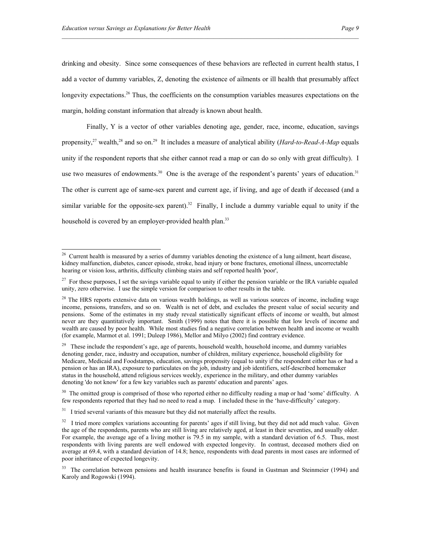1

drinking and obesity. Since some consequences of these behaviors are reflected in current health status, I add a vector of dummy variables, Z, denoting the existence of ailments or ill health that presumably affect longevity expectations.<sup>26</sup> Thus, the coefficients on the consumption variables measures expectations on the margin, holding constant information that already is known about health.

Finally, Y is a vector of other variables denoting age, gender, race, income, education, savings propensity,<sup>27</sup> wealth,<sup>28</sup> and so on.<sup>29</sup> It includes a measure of analytical ability (*Hard-to-Read-A-Map* equals unity if the respondent reports that she either cannot read a map or can do so only with great difficulty). I use two measures of endowments.<sup>30</sup> One is the average of the respondent's parents' years of education.<sup>31</sup> The other is current age of same-sex parent and current age, if living, and age of death if deceased (and a similar variable for the opposite-sex parent).<sup>32</sup> Finally, I include a dummy variable equal to unity if the household is covered by an employer-provided health plan.<sup>33</sup>

 $26$  Current health is measured by a series of dummy variables denoting the existence of a lung ailment, heart disease, kidney malfunction, diabetes, cancer episode, stroke, head injury or bone fractures, emotional illness, uncorrectable hearing or vision loss, arthritis, difficulty climbing stairs and self reported health 'poor',

 $27$  For these purposes, I set the savings variable equal to unity if either the pension variable or the IRA variable equaled unity, zero otherwise. I use the simple version for comparison to other results in the table.

 $^{28}$  The HRS reports extensive data on various wealth holdings, as well as various sources of income, including wage income, pensions, transfers, and so on. Wealth is net of debt, and excludes the present value of social security and pensions. Some of the estimates in my study reveal statistically significant effects of income or wealth, but almost never are they quantitatively important. Smith (1999) notes that there it is possible that low levels of income and wealth are caused by poor health. While most studies find a negative correlation between health and income or wealth (for example, Marmot et al. 1991; Duleep 1986), Mellor and Milyo (2002) find contrary evidence.

<sup>&</sup>lt;sup>29</sup> These include the respondent's age, age of parents, household wealth, household income, and dummy variables denoting gender, race, industry and occupation, number of children, military experience, household eligibility for Medicare, Medicaid and Foodstamps, education, savings propensity (equal to unity if the respondent either has or had a pension or has an IRA), exposure to particulates on the job, industry and job identifiers, self-described homemaker status in the household, attend religious services weekly, experience in the military, and other dummy variables denoting 'do not know' for a few key variables such as parents' education and parents' ages.

 $30$  The omitted group is comprised of those who reported either no difficulty reading a map or had 'some' difficulty. A few respondents reported that they had no need to read a map. I included these in the 'have-difficulty' category.

<sup>&</sup>lt;sup>31</sup> I tried several variants of this measure but they did not materially affect the results.

 $32\sigma$  I tried more complex variations accounting for parents' ages if still living, but they did not add much value. Given the age of the respondents, parents who are still living are relatively aged, at least in their seventies, and usually older. For example, the average age of a living mother is 79.5 in my sample, with a standard deviation of 6.5. Thus, most respondents with living parents are well endowed with expected longevity. In contrast, deceased mothers died on average at 69.4, with a standard deviation of 14.8; hence, respondents with dead parents in most cases are informed of poor inheritance of expected longevity.

<sup>&</sup>lt;sup>33</sup> The correlation between pensions and health insurance benefits is found in Gustman and Steinmeier (1994) and Karoly and Rogowski (1994).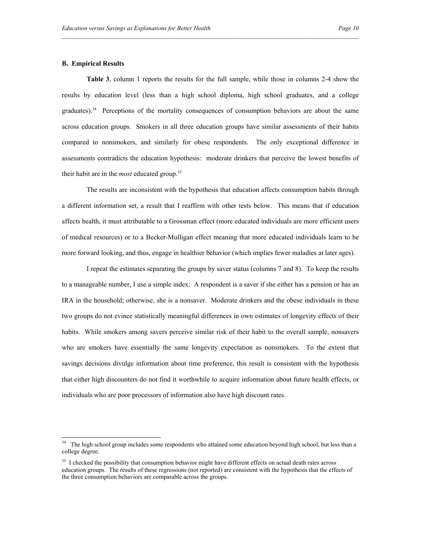#### **B. Empirical Results**

 $\overline{a}$ 

**Table 3**, column 1 reports the results for the full sample, while those in columns 2-4 show the results by education level (less than a high school diploma, high school graduates, and a college graduates).34 Perceptions of the mortality consequences of consumption behaviors are about the same across education groups. Smokers in all three education groups have similar assessments of their habits compared to nonsmokers, and similarly for obese respondents. The only exceptional difference in assessments contradicts the education hypothesis: moderate drinkers that perceive the lowest benefits of their habit are in the *most* educated group.35

The results are inconsistent with the hypothesis that education affects consumption habits through a different information set, a result that I reaffirm with other tests below. This means that if education affects health, it must attributable to a Grossman effect (more educated individuals are more efficient users of medical resources) or to a Becker-Mulligan effect meaning that more educated individuals learn to be more forward looking, and thus, engage in healthier behavior (which implies fewer maladies at later ages).

I repeat the estimates separating the groups by saver status (columns 7 and 8). To keep the results to a manageable number, I use a simple index: A respondent is a saver if she either has a pension or has an IRA in the household; otherwise, she is a nonsaver. Moderate drinkers and the obese individuals in these two groups do not evince statistically meaningful differences in own estimates of longevity effects of their habits. While smokers among savers perceive similar risk of their habit to the overall sample, nonsavers who are smokers have essentially the same longevity expectation as nonsmokers. To the extent that savings decisions divulge information about time preference, this result is consistent with the hypothesis that either high discounters do not find it worthwhile to acquire information about future health effects, or individuals who are poor processors of information also have high discount rates.

<sup>&</sup>lt;sup>34</sup> The high school group includes some respondents who attained some education beyond high school, but less than a college degree.

 $35$  I checked the possibility that consumption behavior might have different effects on actual death rates across education groups. The results of these regressions (not reported) are consistent with the hypothesis that the effects of the three consumption behaviors are comparable across the groups.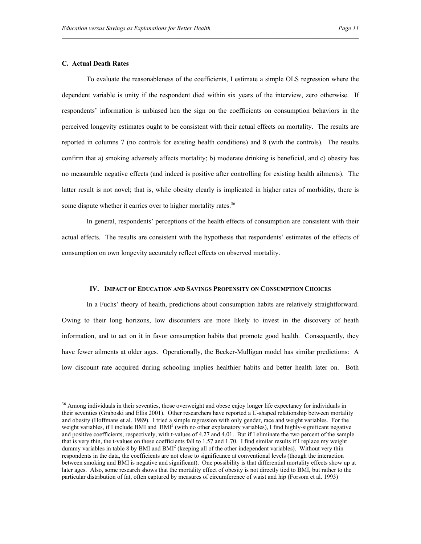#### **C. Actual Death Rates**

-

To evaluate the reasonableness of the coefficients, I estimate a simple OLS regression where the dependent variable is unity if the respondent died within six years of the interview, zero otherwise. If respondents' information is unbiased hen the sign on the coefficients on consumption behaviors in the perceived longevity estimates ought to be consistent with their actual effects on mortality. The results are reported in columns 7 (no controls for existing health conditions) and 8 (with the controls). The results confirm that a) smoking adversely affects mortality; b) moderate drinking is beneficial, and c) obesity has no measurable negative effects (and indeed is positive after controlling for existing health ailments). The latter result is not novel; that is, while obesity clearly is implicated in higher rates of morbidity, there is some dispute whether it carries over to higher mortality rates.<sup>36</sup>

In general, respondents' perceptions of the health effects of consumption are consistent with their actual effects. The results are consistent with the hypothesis that respondents' estimates of the effects of consumption on own longevity accurately reflect effects on observed mortality.

#### **IV. IMPACT OF EDUCATION AND SAVINGS PROPENSITY ON CONSUMPTION CHOICES**

 In a Fuchs' theory of health, predictions about consumption habits are relatively straightforward. Owing to their long horizons, low discounters are more likely to invest in the discovery of heath information, and to act on it in favor consumption habits that promote good health. Consequently, they have fewer ailments at older ages. Operationally, the Becker-Mulligan model has similar predictions: A low discount rate acquired during schooling implies healthier habits and better health later on. Both

 $36$  Among individuals in their seventies, those overweight and obese enjoy longer life expectancy for individuals in their seventies (Graboski and Ellis 2001). Other researchers have reported a U-shaped relationship between mortality and obesity (Hoffmans et al. 1989). I tried a simple regression with only gender, race and weight variables. For the weight variables, if I include BMI and BMI<sup>2</sup> (with no other explanatory variables), I find highly-significant negative and positive coefficients, respectively, with t-values of 4.27 and 4.01. But if I eliminate the two percent of the sample that is very thin, the t-values on these coefficients fall to 1.57 and 1.70. I find similar results if I replace my weight dummy variables in table 8 by BMI and BMI<sup>2</sup> (keeping all of the other independent variables). Without very thin respondents in the data, the coefficients are not close to significance at conventional levels (though the interaction between smoking and BMI is negative and significant). One possibility is that differential mortality effects show up at later ages. Also, some research shows that the mortality effect of obesity is not directly tied to BMI, but rather to the particular distribution of fat, often captured by measures of circumference of waist and hip (Forsom et al. 1993)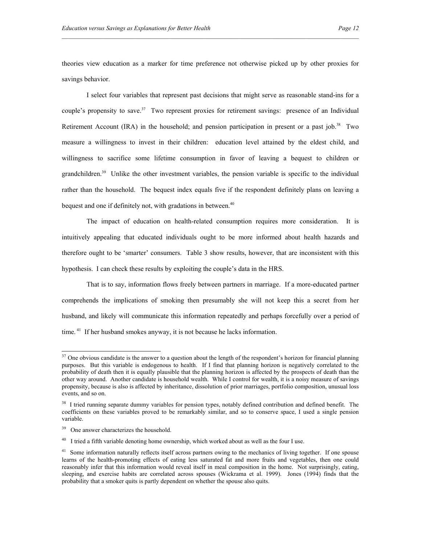theories view education as a marker for time preference not otherwise picked up by other proxies for savings behavior.

I select four variables that represent past decisions that might serve as reasonable stand-ins for a couple's propensity to save.<sup>37</sup> Two represent proxies for retirement savings: presence of an Individual Retirement Account (IRA) in the household; and pension participation in present or a past job.<sup>38</sup> Two measure a willingness to invest in their children: education level attained by the eldest child, and willingness to sacrifice some lifetime consumption in favor of leaving a bequest to children or grandchildren.<sup>39</sup> Unlike the other investment variables, the pension variable is specific to the individual rather than the household. The bequest index equals five if the respondent definitely plans on leaving a bequest and one if definitely not, with gradations in between.<sup>40</sup>

The impact of education on health-related consumption requires more consideration. It is intuitively appealing that educated individuals ought to be more informed about health hazards and therefore ought to be 'smarter' consumers. Table 3 show results, however, that are inconsistent with this hypothesis. I can check these results by exploiting the couple's data in the HRS.

That is to say, information flows freely between partners in marriage. If a more-educated partner comprehends the implications of smoking then presumably she will not keep this a secret from her husband, and likely will communicate this information repeatedly and perhaps forcefully over a period of time. <sup>41</sup> If her husband smokes anyway, it is not because he lacks information.

-

 $37$  One obvious candidate is the answer to a question about the length of the respondent's horizon for financial planning purposes. But this variable is endogenous to health. If I find that planning horizon is negatively correlated to the probability of death then it is equally plausible that the planning horizon is affected by the prospects of death than the other way around. Another candidate is household wealth. While I control for wealth, it is a noisy measure of savings propensity, because is also is affected by inheritance, dissolution of prior marriages, portfolio composition, unusual loss events, and so on.

<sup>&</sup>lt;sup>38</sup> I tried running separate dummy variables for pension types, notably defined contribution and defined benefit. The coefficients on these variables proved to be remarkably similar, and so to conserve space, I used a single pension variable.

<sup>&</sup>lt;sup>39</sup> One answer characterizes the household.

 $^{40}$  I tried a fifth variable denoting home ownership, which worked about as well as the four I use.

<sup>&</sup>lt;sup>41</sup> Some information naturally reflects itself across partners owing to the mechanics of living together. If one spouse learns of the health-promoting effects of eating less saturated fat and more fruits and vegetables, then one could reasonably infer that this information would reveal itself in meal composition in the home. Not surprisingly, eating, sleeping, and exercise habits are correlated across spouses (Wickrama et al. 1999). Jones (1994) finds that the probability that a smoker quits is partly dependent on whether the spouse also quits.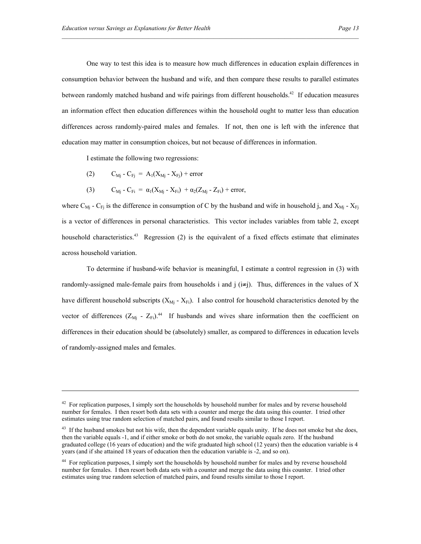One way to test this idea is to measure how much differences in education explain differences in consumption behavior between the husband and wife, and then compare these results to parallel estimates between randomly matched husband and wife pairings from different households.<sup>42</sup> If education measures an information effect then education differences within the household ought to matter less than education differences across randomly-paired males and females. If not, then one is left with the inference that education may matter in consumption choices, but not because of differences in information.

I estimate the following two regressions:

(2)  $C_{Mi} - C_{Fi} = A_1(X_{Mi} - X_{Fi}) + error$ 

-

(3)  $C_{\text{Mj}} - C_{\text{Fi}} = \alpha_1 (X_{\text{Mj}} - X_{\text{Fi}}) + \alpha_2 (Z_{\text{Mi}} - Z_{\text{Fi}}) + \text{error},$ 

where  $C_{Mi}$  -  $C_{Fi}$  is the difference in consumption of C by the husband and wife in household j, and  $X_{Mi}$  -  $X_{Fi}$ is a vector of differences in personal characteristics. This vector includes variables from table 2, except household characteristics.<sup>43</sup> Regression (2) is the equivalent of a fixed effects estimate that eliminates across household variation.

To determine if husband-wife behavior is meaningful, I estimate a control regression in (3) with randomly-assigned male-female pairs from households i and j  $(i\neq j)$ . Thus, differences in the values of X have different household subscripts  $(X_{Mi} - X_{Fi})$ . I also control for household characteristics denoted by the vector of differences  $(Z_{\text{M}j} - Z_{\text{Fi}})^{44}$  If husbands and wives share information then the coefficient on differences in their education should be (absolutely) smaller, as compared to differences in education levels of randomly-assigned males and females.

 $42$  For replication purposes, I simply sort the households by household number for males and by reverse household number for females. I then resort both data sets with a counter and merge the data using this counter. I tried other estimates using true random selection of matched pairs, and found results similar to those I report.

 $43$  If the husband smokes but not his wife, then the dependent variable equals unity. If he does not smoke but she does, then the variable equals -1, and if either smoke or both do not smoke, the variable equals zero. If the husband graduated college (16 years of education) and the wife graduated high school (12 years) then the education variable is 4 years (and if she attained 18 years of education then the education variable is -2, and so on).

<sup>&</sup>lt;sup>44</sup> For replication purposes. I simply sort the households by household number for males and by reverse household number for females. I then resort both data sets with a counter and merge the data using this counter. I tried other estimates using true random selection of matched pairs, and found results similar to those I report.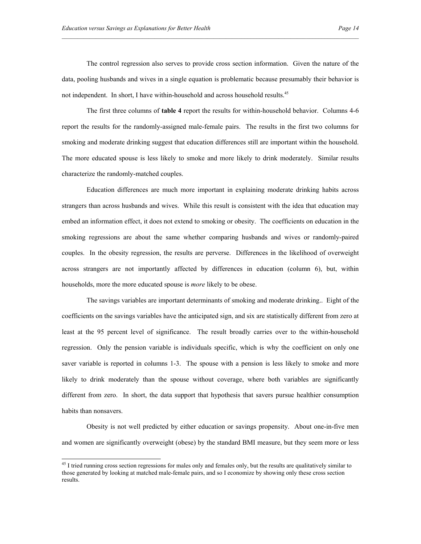The control regression also serves to provide cross section information. Given the nature of the data, pooling husbands and wives in a single equation is problematic because presumably their behavior is not independent. In short, I have within-household and across household results.<sup>45</sup>

The first three columns of **table 4** report the results for within-household behavior. Columns 4-6 report the results for the randomly-assigned male-female pairs. The results in the first two columns for smoking and moderate drinking suggest that education differences still are important within the household. The more educated spouse is less likely to smoke and more likely to drink moderately. Similar results characterize the randomly-matched couples.

Education differences are much more important in explaining moderate drinking habits across strangers than across husbands and wives. While this result is consistent with the idea that education may embed an information effect, it does not extend to smoking or obesity. The coefficients on education in the smoking regressions are about the same whether comparing husbands and wives or randomly-paired couples. In the obesity regression, the results are perverse. Differences in the likelihood of overweight across strangers are not importantly affected by differences in education (column 6), but, within households, more the more educated spouse is *more* likely to be obese.

The savings variables are important determinants of smoking and moderate drinking.. Eight of the coefficients on the savings variables have the anticipated sign, and six are statistically different from zero at least at the 95 percent level of significance. The result broadly carries over to the within-household regression. Only the pension variable is individuals specific, which is why the coefficient on only one saver variable is reported in columns 1-3. The spouse with a pension is less likely to smoke and more likely to drink moderately than the spouse without coverage, where both variables are significantly different from zero. In short, the data support that hypothesis that savers pursue healthier consumption habits than nonsavers.

Obesity is not well predicted by either education or savings propensity. About one-in-five men and women are significantly overweight (obese) by the standard BMI measure, but they seem more or less

 $\overline{a}$ 

 $45$  I tried running cross section regressions for males only and females only, but the results are qualitatively similar to those generated by looking at matched male-female pairs, and so I economize by showing only these cross section results.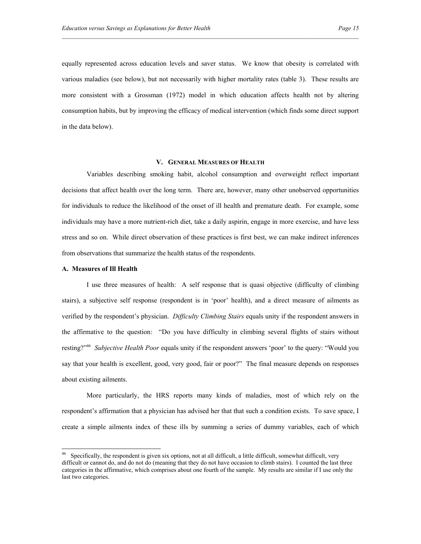equally represented across education levels and saver status. We know that obesity is correlated with various maladies (see below), but not necessarily with higher mortality rates (table 3). These results are more consistent with a Grossman (1972) model in which education affects health not by altering consumption habits, but by improving the efficacy of medical intervention (which finds some direct support in the data below).

#### **V. GENERAL MEASURES OF HEALTH**

Variables describing smoking habit, alcohol consumption and overweight reflect important decisions that affect health over the long term. There are, however, many other unobserved opportunities for individuals to reduce the likelihood of the onset of ill health and premature death. For example, some individuals may have a more nutrient-rich diet, take a daily aspirin, engage in more exercise, and have less stress and so on. While direct observation of these practices is first best, we can make indirect inferences from observations that summarize the health status of the respondents.

#### **A. Measures of Ill Health**

-

I use three measures of health: A self response that is quasi objective (difficulty of climbing stairs), a subjective self response (respondent is in 'poor' health), and a direct measure of ailments as verified by the respondent's physician. *Difficulty Climbing Stairs* equals unity if the respondent answers in the affirmative to the question: "Do you have difficulty in climbing several flights of stairs without resting?"46 *Subjective Health Poor* equals unity if the respondent answers 'poor' to the query: "Would you say that your health is excellent, good, very good, fair or poor?" The final measure depends on responses about existing ailments.

More particularly, the HRS reports many kinds of maladies, most of which rely on the respondent's affirmation that a physician has advised her that that such a condition exists. To save space, I create a simple ailments index of these ills by summing a series of dummy variables, each of which

 $46$  Specifically, the respondent is given six options, not at all difficult, a little difficult, somewhat difficult, very difficult or cannot do, and do not do (meaning that they do not have occasion to climb stairs). I counted the last three categories in the affirmative, which comprises about one fourth of the sample. My results are similar if I use only the last two categories.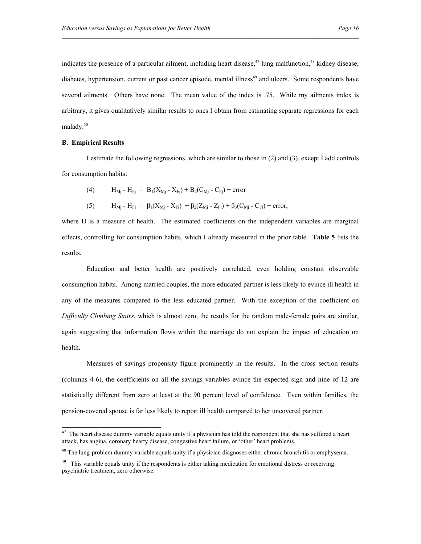indicates the presence of a particular ailment, including heart disease,  $47$  lung malfunction,  $48$  kidney disease, diabetes, hypertension, current or past cancer episode, mental illness<sup>49</sup> and ulcers. Some respondents have several ailments. Others have none. The mean value of the index is .75. While my ailments index is arbitrary, it gives qualitatively similar results to ones I obtain from estimating separate regressions for each malady.50

#### **B. Empirical Results**

-

I estimate the following regressions, which are similar to those in (2) and (3), except I add controls for consumption habits:

(4) 
$$
H_{Mj} - H_{Fj} = B_1(X_{Mj} - X_{Fj}) + B_2(C_{Mj} - C_{Fj}) + error
$$

(5) 
$$
H_{Mj} - H_{Fi} = \beta_1(X_{Mj} - X_{Fi}) + \beta_2(Z_{Mj} - Z_{Fi}) + \beta_3(C_{Mj} - C_{Fi}) + error,
$$

where H is a measure of health. The estimated coefficients on the independent variables are marginal effects, controlling for consumption habits, which I already measured in the prior table. **Table 5** lists the results.

Education and better health are positively correlated, even holding constant observable consumption habits. Among married couples, the more educated partner is less likely to evince ill health in any of the measures compared to the less educated partner. With the exception of the coefficient on *Difficulty Climbing Stairs*, which is almost zero, the results for the random male-female pairs are similar, again suggesting that information flows within the marriage do not explain the impact of education on health.

Measures of savings propensity figure prominently in the results. In the cross section results (columns 4-6), the coefficients on all the savings variables evince the expected sign and nine of 12 are statistically different from zero at least at the 90 percent level of confidence. Even within families, the pension-covered spouse is far less likely to report ill health compared to her uncovered partner.

 $47$  The heart disease dummy variable equals unity if a physician has told the respondent that she has suffered a heart attack, has angina, coronary hearty disease, congestive heart failure, or 'other' heart problems.

<sup>&</sup>lt;sup>48</sup> The lung-problem dummy variable equals unity if a physician diagnoses either chronic bronchitis or emphysema.

 $49$  This variable equals unity if the respondents is either taking medication for emotional distress or receiving psychiatric treatment, zero otherwise.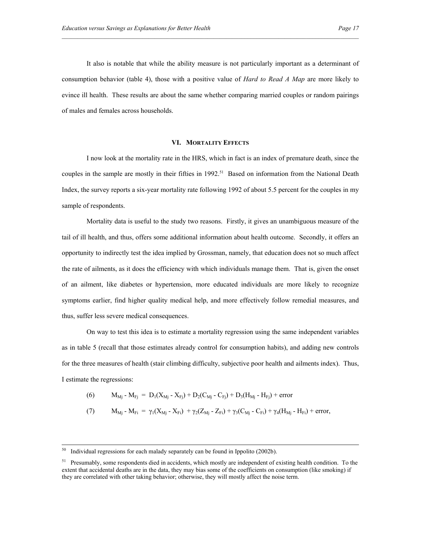It also is notable that while the ability measure is not particularly important as a determinant of consumption behavior (table 4), those with a positive value of *Hard to Read A Map* are more likely to evince ill health. These results are about the same whether comparing married couples or random pairings of males and females across households.

#### **VI. MORTALITY EFFECTS**

I now look at the mortality rate in the HRS, which in fact is an index of premature death, since the couples in the sample are mostly in their fifties in 1992.<sup>51</sup> Based on information from the National Death Index, the survey reports a six-year mortality rate following 1992 of about 5.5 percent for the couples in my sample of respondents.

Mortality data is useful to the study two reasons. Firstly, it gives an unambiguous measure of the tail of ill health, and thus, offers some additional information about health outcome. Secondly, it offers an opportunity to indirectly test the idea implied by Grossman, namely, that education does not so much affect the rate of ailments, as it does the efficiency with which individuals manage them. That is, given the onset of an ailment, like diabetes or hypertension, more educated individuals are more likely to recognize symptoms earlier, find higher quality medical help, and more effectively follow remedial measures, and thus, suffer less severe medical consequences.

On way to test this idea is to estimate a mortality regression using the same independent variables as in table 5 (recall that those estimates already control for consumption habits), and adding new controls for the three measures of health (stair climbing difficulty, subjective poor health and ailments index). Thus, I estimate the regressions:

(6) 
$$
M_{Mj} - M_{Fj} = D_1(X_{Mj} - X_{Fj}) + D_2(C_{Mj} - C_{Fj}) + D_3(H_{Mj} - H_{Fj}) + error
$$

(7) 
$$
M_{Mj} - M_{Fi} = \gamma_1 (X_{Mj} - X_{Fi}) + \gamma_2 (Z_{Mj} - Z_{Fi}) + \gamma_3 (C_{Mj} - C_{Fi}) + \gamma_4 (H_{Mj} - H_{Fi}) + error,
$$

<sup>&</sup>lt;sup>50</sup> Individual regressions for each malady separately can be found in Ippolito (2002b).

 $<sup>51</sup>$  Presumably, some respondents died in accidents, which mostly are independent of existing health condition. To the</sup> extent that accidental deaths are in the data, they may bias some of the coefficients on consumption (like smoking) if they are correlated with other taking behavior; otherwise, they will mostly affect the noise term.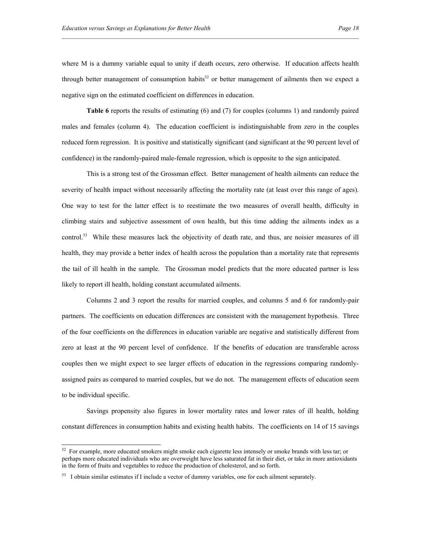where M is a dummy variable equal to unity if death occurs, zero otherwise. If education affects health through better management of consumption habits<sup>52</sup> or better management of ailments then we expect a negative sign on the estimated coefficient on differences in education.

**Table 6** reports the results of estimating (6) and (7) for couples (columns 1) and randomly paired males and females (column 4). The education coefficient is indistinguishable from zero in the couples reduced form regression. It is positive and statistically significant (and significant at the 90 percent level of confidence) in the randomly-paired male-female regression, which is opposite to the sign anticipated.

This is a strong test of the Grossman effect. Better management of health ailments can reduce the severity of health impact without necessarily affecting the mortality rate (at least over this range of ages). One way to test for the latter effect is to reestimate the two measures of overall health, difficulty in climbing stairs and subjective assessment of own health, but this time adding the ailments index as a control.<sup>53</sup> While these measures lack the objectivity of death rate, and thus, are noisier measures of ill health, they may provide a better index of health across the population than a mortality rate that represents the tail of ill health in the sample. The Grossman model predicts that the more educated partner is less likely to report ill health, holding constant accumulated ailments.

Columns 2 and 3 report the results for married couples, and columns 5 and 6 for randomly-pair partners. The coefficients on education differences are consistent with the management hypothesis. Three of the four coefficients on the differences in education variable are negative and statistically different from zero at least at the 90 percent level of confidence. If the benefits of education are transferable across couples then we might expect to see larger effects of education in the regressions comparing randomlyassigned pairs as compared to married couples, but we do not. The management effects of education seem to be individual specific.

Savings propensity also figures in lower mortality rates and lower rates of ill health, holding constant differences in consumption habits and existing health habits. The coefficients on 14 of 15 savings

-

 $52$  For example, more educated smokers might smoke each cigarette less intensely or smoke brands with less tar; or perhaps more educated individuals who are overweight have less saturated fat in their diet, or take in more antioxidants in the form of fruits and vegetables to reduce the production of cholesterol, and so forth.

 $53$  I obtain similar estimates if I include a vector of dummy variables, one for each ailment separately.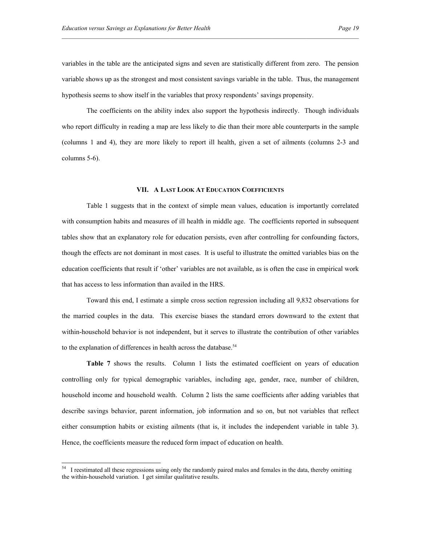variables in the table are the anticipated signs and seven are statistically different from zero. The pension variable shows up as the strongest and most consistent savings variable in the table. Thus, the management hypothesis seems to show itself in the variables that proxy respondents' savings propensity.

The coefficients on the ability index also support the hypothesis indirectly. Though individuals who report difficulty in reading a map are less likely to die than their more able counterparts in the sample (columns 1 and 4), they are more likely to report ill health, given a set of ailments (columns 2-3 and columns 5-6).

#### **VII. A LAST LOOK AT EDUCATION COEFFICIENTS**

Table 1 suggests that in the context of simple mean values, education is importantly correlated with consumption habits and measures of ill health in middle age. The coefficients reported in subsequent tables show that an explanatory role for education persists, even after controlling for confounding factors, though the effects are not dominant in most cases. It is useful to illustrate the omitted variables bias on the education coefficients that result if 'other' variables are not available, as is often the case in empirical work that has access to less information than availed in the HRS.

Toward this end, I estimate a simple cross section regression including all 9,832 observations for the married couples in the data. This exercise biases the standard errors downward to the extent that within-household behavior is not independent, but it serves to illustrate the contribution of other variables to the explanation of differences in health across the database.<sup>54</sup>

**Table 7** shows the results. Column 1 lists the estimated coefficient on years of education controlling only for typical demographic variables, including age, gender, race, number of children, household income and household wealth. Column 2 lists the same coefficients after adding variables that describe savings behavior, parent information, job information and so on, but not variables that reflect either consumption habits or existing ailments (that is, it includes the independent variable in table 3). Hence, the coefficients measure the reduced form impact of education on health.

-

 $<sup>54</sup>$  I reestimated all these regressions using only the randomly paired males and females in the data, thereby omitting</sup> the within-household variation. I get similar qualitative results.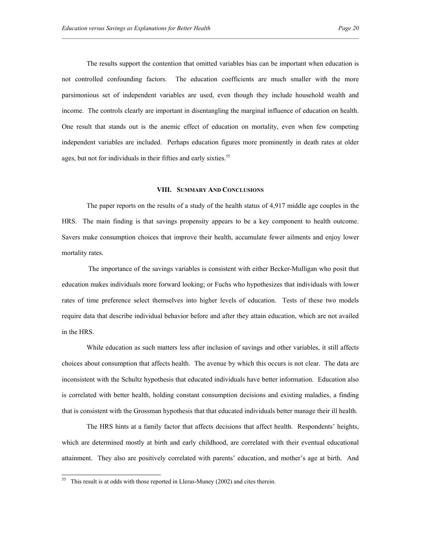The results support the contention that omitted variables bias can be important when education is not controlled confounding factors. The education coefficients are much smaller with the more parsimonious set of independent variables are used, even though they include household wealth and income. The controls clearly are important in disentangling the marginal influence of education on health. One result that stands out is the anemic effect of education on mortality, even when few competing independent variables are included. Perhaps education figures more prominently in death rates at older ages, but not for individuals in their fifties and early sixties.<sup>55</sup>

#### **VIII. SUMMARY AND CONCLUSIONS**

The paper reports on the results of a study of the health status of 4,917 middle age couples in the HRS. The main finding is that savings propensity appears to be a key component to health outcome. Savers make consumption choices that improve their health, accumulate fewer ailments and enjoy lower mortality rates.

 The importance of the savings variables is consistent with either Becker-Mulligan who posit that education makes individuals more forward looking; or Fuchs who hypothesizes that individuals with lower rates of time preference select themselves into higher levels of education. Tests of these two models require data that describe individual behavior before and after they attain education, which are not availed in the HRS.

While education as such matters less after inclusion of savings and other variables, it still affects choices about consumption that affects health. The avenue by which this occurs is not clear. The data are inconsistent with the Schultz hypothesis that educated individuals have better information. Education also is correlated with better health, holding constant consumption decisions and existing maladies, a finding that is consistent with the Grossman hypothesis that that educated individuals better manage their ill health.

The HRS hints at a family factor that affects decisions that affect health. Respondents' heights, which are determined mostly at birth and early childhood, are correlated with their eventual educational attainment. They also are positively correlated with parents' education, and mother's age at birth. And

<sup>55</sup> This result is at odds with those reported in Lleras-Muney (2002) and cites therein.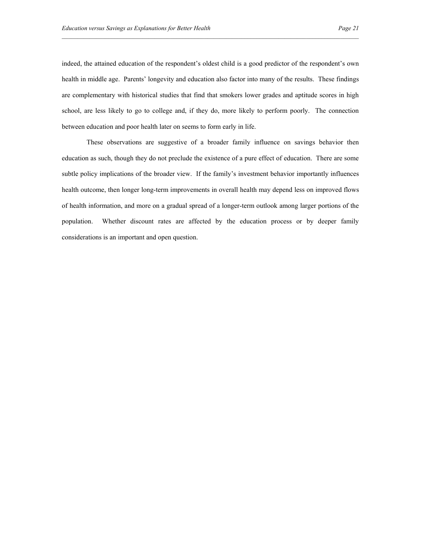indeed, the attained education of the respondent's oldest child is a good predictor of the respondent's own health in middle age. Parents' longevity and education also factor into many of the results. These findings are complementary with historical studies that find that smokers lower grades and aptitude scores in high school, are less likely to go to college and, if they do, more likely to perform poorly. The connection between education and poor health later on seems to form early in life.

These observations are suggestive of a broader family influence on savings behavior then education as such, though they do not preclude the existence of a pure effect of education. There are some subtle policy implications of the broader view. If the family's investment behavior importantly influences health outcome, then longer long-term improvements in overall health may depend less on improved flows of health information, and more on a gradual spread of a longer-term outlook among larger portions of the population. Whether discount rates are affected by the education process or by deeper family considerations is an important and open question.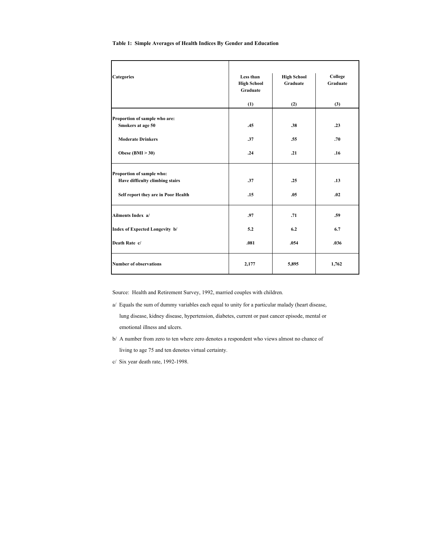| <b>Categories</b>                                                                                   | Less than<br><b>High School</b><br>Graduate | <b>High School</b><br>Graduate | College<br>Graduate |
|-----------------------------------------------------------------------------------------------------|---------------------------------------------|--------------------------------|---------------------|
|                                                                                                     | (1)                                         | (2)                            | (3)                 |
| Proportion of sample who are:<br>Smokers at age 50                                                  | .45                                         | .38                            | .23                 |
| <b>Moderate Drinkers</b>                                                                            | .37                                         | .55                            | .70                 |
| Obese $(BMI > 30)$                                                                                  | .24                                         | .21                            | .16                 |
| Proportion of sample who:<br>Have difficulty climbing stairs<br>Self report they are in Poor Health | .37<br>.15                                  | .25<br>.05                     | .13<br>.02          |
| Ailments Index a/                                                                                   | .97                                         | .71                            | .59                 |
| Index of Expected Longevity b/                                                                      | 5.2                                         | 6.2                            | 6.7                 |
| Death Rate c/                                                                                       | .081                                        | .054                           | .036                |
| <b>Number of observations</b>                                                                       | 2,177                                       | 5,895                          | 1,762               |

#### **Table 1: Simple Averages of Health Indices By Gender and Education**

Source: Health and Retirement Survey, 1992, married couples with children.

- a/ Equals the sum of dummy variables each equal to unity for a particular malady (heart disease, lung disease, kidney disease, hypertension, diabetes, current or past cancer episode, mental or emotional illness and ulcers.
- b/ A number from zero to ten where zero denotes a respondent who views almost no chance of living to age 75 and ten denotes virtual certainty.
- c/ Six year death rate, 1992-1998.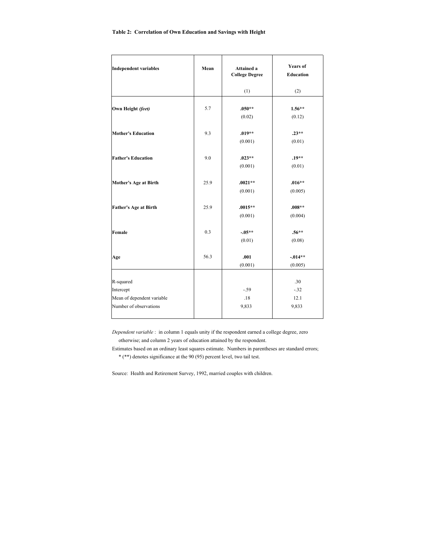| <b>Independent variables</b>                                                   | Mean | <b>Attained a</b><br><b>College Degree</b> | <b>Years</b> of<br><b>Education</b> |
|--------------------------------------------------------------------------------|------|--------------------------------------------|-------------------------------------|
|                                                                                |      | (1)                                        | (2)                                 |
| Own Height (feet)                                                              | 5.7  | $.050**$<br>(0.02)                         | $1.56**$<br>(0.12)                  |
| <b>Mother's Education</b>                                                      | 9.3  | $.019**$<br>(0.001)                        | $.23**$<br>(0.01)                   |
| <b>Father's Education</b>                                                      | 9.0  | $.023**$<br>(0.001)                        | $.19**$<br>(0.01)                   |
| <b>Mother's Age at Birth</b>                                                   | 25.9 | $.0021**$<br>(0.001)                       | $.016**$<br>(0.005)                 |
| <b>Father's Age at Birth</b>                                                   | 25.9 | $.0015**$<br>(0.001)                       | $.008**$<br>(0.004)                 |
| Female                                                                         | 0.3  | $-0.05**$<br>(0.01)                        | $.56**$<br>(0.08)                   |
| Age                                                                            | 56.3 | .001<br>(0.001)                            | $-0.014**$<br>(0.005)               |
| R-squared<br>Intercept<br>Mean of dependent variable<br>Number of observations |      | $-.59$<br>.18<br>9,833                     | .30<br>$-.32$<br>12.1<br>9,833      |
|                                                                                |      |                                            |                                     |

*Dependent variable* : in column 1 equals unity if the respondent earned a college degree, zero otherwise; and column 2 years of education attained by the respondent.

Estimates based on an ordinary least squares estimate. Numbers in parentheses are standard errors; \* (\*\*) denotes significance at the 90 (95) percent level, two tail test.

Source: Health and Retirement Survey, 1992, married couples with children.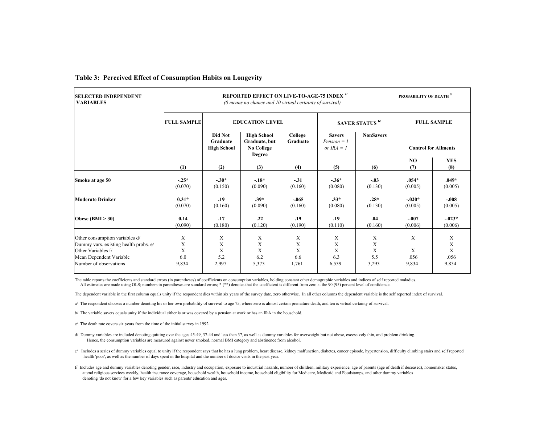| <b>SELECTED INDEPENDENT</b><br><b>VARIABLES</b>                                                                                                    | <b>REPORTED EFFECT ON LIVE-TO-AGE-75 INDEX a/</b><br>(0 means no chance and 10 virtual certainty of survival) |                                                     |                                                                           |                             |                                                |                             | PROBABILITY OF DEATH <sup>c/</sup> |                              |
|----------------------------------------------------------------------------------------------------------------------------------------------------|---------------------------------------------------------------------------------------------------------------|-----------------------------------------------------|---------------------------------------------------------------------------|-----------------------------|------------------------------------------------|-----------------------------|------------------------------------|------------------------------|
|                                                                                                                                                    | <b>FULL SAMPLE</b>                                                                                            |                                                     | <b>EDUCATION LEVEL</b><br>SAVER STATUS <sup>b/</sup>                      |                             |                                                |                             | <b>FULL SAMPLE</b>                 |                              |
|                                                                                                                                                    |                                                                                                               | <b>Did Not</b><br>Graduate<br><b>High School</b>    | <b>High School</b><br>Graduate, but<br><b>No College</b><br><b>Degree</b> | College<br>Graduate         | <b>Savers</b><br>$Pension = I$<br>or $IRA = I$ | <b>NonSavers</b>            |                                    | <b>Control for Ailments</b>  |
|                                                                                                                                                    | (1)                                                                                                           | (2)                                                 | (3)                                                                       | (4)                         | (5)                                            | (6)                         | N <sub>O</sub><br>(7)              | <b>YES</b><br>(8)            |
| Smoke at age 50                                                                                                                                    | $-.25*$<br>(0.070)                                                                                            | $-.30*$<br>(0.150)                                  | $-.18*$<br>(0.090)                                                        | $-.31$<br>(0.160)           | $-.36*$<br>(0.080)                             | $-.03$<br>(0.130)           | $.054*$<br>(0.005)                 | $.049*$<br>(0.005)           |
| <b>Moderate Drinker</b>                                                                                                                            | $0.31*$<br>(0.070)                                                                                            | .19<br>(0.160)                                      | $.39*$<br>(0.090)                                                         | $-.065$<br>(0.160)          | $.33*$<br>(0.080)                              | $.28*$<br>(0.130)           | $-.020*$<br>(0.005)                | $-.008$<br>(0.005)           |
| Obese $(BMI > 30)$                                                                                                                                 | 0.14<br>(0.090)                                                                                               | .17<br>(0.180)                                      | .22<br>(0.120)                                                            | .19<br>(0.190)              | .19<br>(0.110)                                 | .04<br>(0.160)              | $-.007$<br>(0.006)                 | $-.023*$<br>(0.006)          |
| Other consumption variables d/<br>Dummy vars. existing health probs. e/<br>Other Variables f/<br>Mean Dependent Variable<br>Number of observations | X<br>X<br>X<br>6.0<br>9,834                                                                                   | $\boldsymbol{\mathrm{X}}$<br>X<br>X<br>5.2<br>2,997 | X<br>X<br>X<br>6.2<br>5,373                                               | X<br>X<br>X<br>6.6<br>1,761 | X<br>X<br>X<br>6.3<br>6,539                    | X<br>X<br>X<br>5.5<br>3,293 | X<br>X<br>.056<br>9,834            | X<br>X<br>X<br>.056<br>9,834 |

#### **Table 3: Perceived Effect of Consumption Habits on Longevity**

The table reports the coefficients and standard errors (in parentheses) of coefficients on consumption variables, holding constant other demographic variables and indices of self reported maladies. All estimates are made using OLS; numbers in parentheses are standard errors; \* (\*\*) denotes that the coefficient is different from zero at the 90 (95) percent level of confidence.

The dependent variable in the first column equals unity if the respondent dies within six years of the survey date, zero otherwise. In all other columns the dependent variable is the self reported index of survival.

a/ The respondent chooses a number denoting his or her own probability of survival to age 75, where zero is almost certain premature death, and ten is virtual certainty of survival.

b/ The variable savers equals unity if the individual either is or was covered by a pension at work or has an IRA in the household.

c/ The death rate covers six years from the time of the initial survey in 1992.

d/ Dummy variables are included denoting quitting over the ages 45-49, 37-44 and less than 37, as well as dummy variables for overweight but not obese, excessively thin, and problem drinking. Hence, the consumption variables are measured against never smoked, normal BMI category and abstinence from alcohol.

e/ Includes a series of dummy variables equal to unity if the respondent says that he has a lung problem, heart disease, kidney malfunction, diabetes, cancer episode, hypertension, difficulty climbing stairs and self repor health 'poor', as well as the number of days spent in the hospital and the number of doctor visits in the past year.

f/ Includes age and dummy variables denoting gender, race, industry and occupation, exposure to industrial hazards, number of children, military experience, age of parents (age of death if deceased), homemaker status, attend religious services weekly, health insurance coverage, household wealth, household income, household eligibility for Medicare, Medicaid and Foodstamps, and other dummy variables denoting 'do not know' for a few key variables such as parents' education and ages.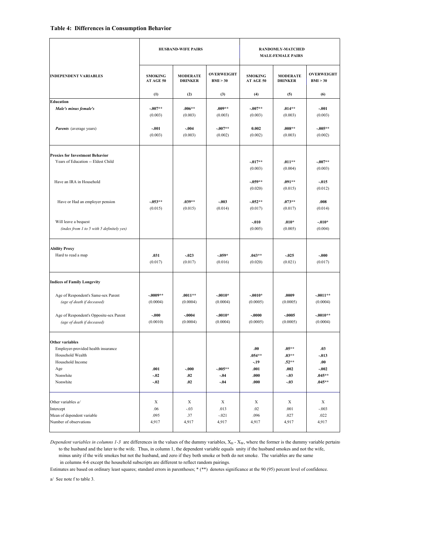| <b>SMOKING</b><br>AT AGE 50<br>(1)<br>$-0.07**$<br>(0.003) | <b>MODERATE</b><br><b>DRINKER</b><br>(2) | <b>OVERWEIGHT</b><br>BMI > 30 | <b>SMOKING</b><br>AT AGE 50                        | <b>MODERATE</b>                                           |                                                                  |
|------------------------------------------------------------|------------------------------------------|-------------------------------|----------------------------------------------------|-----------------------------------------------------------|------------------------------------------------------------------|
|                                                            |                                          |                               |                                                    | <b>DRINKER</b>                                            | <b>OVERWEIGHT</b><br>BMI > 30                                    |
|                                                            |                                          | (3)                           | (4)                                                | (5)                                                       | (6)                                                              |
|                                                            |                                          |                               |                                                    |                                                           |                                                                  |
|                                                            | $.006**$<br>(0.003)                      | $.009**$<br>(0.003)           | $-.007**$<br>(0.003)                               | $.014**$<br>(0.003)                                       | $-.001$<br>(0.003)                                               |
| $-.001$<br>(0.003)                                         | $-.004$<br>(0.003)                       | $-.007**$<br>(0.002)          | 0.002<br>(0.002)                                   | $.008**$<br>(0.003)                                       | $-005**$<br>(0.002)                                              |
|                                                            |                                          |                               |                                                    |                                                           |                                                                  |
|                                                            |                                          |                               | $-017**$<br>(0.003)                                | $.011**$<br>(0.004)                                       | $-007**$<br>(0.003)                                              |
|                                                            |                                          |                               | $-0.59**$<br>(0.020)                               | .091**<br>(0.015)                                         | $-015$<br>(0.012)                                                |
| $-0.53**$<br>(0.015)                                       | $.039**$<br>(0.015)                      | $-.003$<br>(0.014)            | $-0.52**$<br>(0.017)                               | $.073**$<br>(0.017)                                       | .008<br>(0.014)                                                  |
|                                                            |                                          |                               | $-.010$<br>(0.005)                                 | $.010*$<br>(0.005)                                        | $-.010*$<br>(0.004)                                              |
| .031<br>(0.017)                                            | $-0.023$<br>(0.017)                      | $-0.059*$<br>(0.016)          | $.043**$<br>(0.020)                                | $-0.025$<br>(0.021)                                       | $-.000$<br>(0.017)                                               |
|                                                            |                                          |                               |                                                    |                                                           |                                                                  |
| $-0.009**$<br>(0.0004)                                     | $.0011**$<br>(0.0004)                    | $-.0010*$<br>(0.0004)         | $-.0010*$<br>(0.0005)                              | .0009<br>(0.0005)                                         | $-0.011**$<br>(0.0004)                                           |
| $-.000$<br>(0.0010)                                        | $-.0004$<br>(0.0004)                     | $-.0010*$<br>(0.0004)         | $-.0000$<br>(0.0005)                               | $-0005$<br>(0.0005)                                       | $-.0010**$<br>(0.0004)                                           |
| .001<br>$-.02$<br>$-.02$                                   | $-.000$<br>.02<br>.02                    | $-0.05**$<br>$-.04$<br>$-.04$ | .00.<br>$.054**$<br>$-.19$<br>.001<br>.000<br>.000 | $.05**$<br>$.03**$<br>$.52**$<br>.002<br>$-.03$<br>$-.03$ | .03<br>$-.013$<br>${\bf .00}$<br>$-.002$<br>$.045**$<br>$.045**$ |
| X<br>.06<br>.095<br>4,917                                  | X<br>$-.03$<br>.37<br>4,917              | X<br>.013<br>$-.021$<br>4,917 | X<br>.02<br>.096<br>4,917                          | X<br>.001<br>.027<br>4,917                                | X<br>$-.003$<br>.022<br>4,917                                    |
|                                                            |                                          |                               |                                                    |                                                           |                                                                  |

*Dependent variables in columns 1-3* are differences in the values of the dummy variables, X<sub>H</sub> - X<sub>W</sub>, where the former is the dummy variable pertains to the husband and the later to the wife. Thus, in column 1, the dependent variable equals unity if the husband smokes and not the wife, minus unity if the wife smokes but not the husband, and zero if they both smoke or both do not smoke. The variables are the same in columns 4-6 except the household subscripts are different to reflect random pairings.

Estimates are based on ordinary least squares; standard errors in parentheses; \* (\*\*) denotes significance at the 90 (95) percent level of confidence.

a/ See note f to table 3.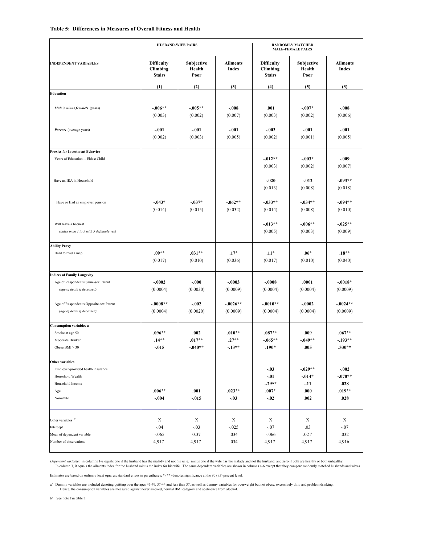#### **Table 5: Differences in Measures of Overall Fitness and Health**

|                                                                                   | <b>HUSBAND-WIFE PAIRS</b>                      |                               | <b>RANDOMLY MATCHED</b><br><b>MALE-FEMALE PAIRS</b> |                                                |                                         |                                          |
|-----------------------------------------------------------------------------------|------------------------------------------------|-------------------------------|-----------------------------------------------------|------------------------------------------------|-----------------------------------------|------------------------------------------|
| <b>INDEPENDENT VARIABLES</b>                                                      | <b>Difficulty</b><br>Climbing<br><b>Stairs</b> | Subjective<br>Health<br>Poor  | <b>Ailments</b><br>Index                            | <b>Difficulty</b><br>Climbing<br><b>Stairs</b> | Subjective<br>Health<br>Poor            | <b>Ailments</b><br>Index                 |
| <b>Education</b>                                                                  | (1)                                            | (2)                           | (3)                                                 | (4)                                            | (5)                                     | (3)                                      |
|                                                                                   |                                                |                               |                                                     |                                                |                                         |                                          |
| Male's minus female's (years)                                                     | $-.006**$<br>(0.003)                           | $-.005**$<br>(0.002)          | $-.008$<br>(0.007)                                  | .001<br>(0.003)                                | $-.007*$<br>(0.002)                     | $-.008$<br>(0.006)                       |
| Parents (average years)                                                           | $-.001$<br>(0.002)                             | $-.001$<br>(0.003)            | $-.001$<br>(0.005)                                  | $-.003$<br>(0.002)                             | $-.001$<br>(0.001)                      | $-.001$<br>(0.005)                       |
| <b>Proxies for Investment Behavior</b>                                            |                                                |                               |                                                     |                                                |                                         |                                          |
| Years of Education -- Eldest Child                                                |                                                |                               |                                                     | $-.012**$<br>(0.003)                           | $-0.03*$<br>(0.002)                     | $-.009$<br>(0.007)                       |
| Have an IRA in Household                                                          |                                                |                               |                                                     | $-.020$<br>(0.013)                             | $-.012$<br>(0.008)                      | $-.093**$<br>(0.018)                     |
| Have or Had an employer pension                                                   | $-0.043*$<br>(0.014)                           | $-.037*$<br>(0.015)           | $-0.062**$<br>(0.032)                               | $-.033**$<br>(0.014)                           | $-.034**$<br>(0.008)                    | $-.094**$<br>(0.010)                     |
| Will leave a bequest<br>(index from 1 to 5 with 5 definitely yes)                 |                                                |                               |                                                     | $-.013**$<br>(0.005)                           | $-.006**$<br>(0.003)                    | $-0.025**$<br>(0.009)                    |
| <b>Ability Proxy</b>                                                              |                                                |                               |                                                     |                                                |                                         |                                          |
| Hard to read a map                                                                | $.09**$<br>(0.017)                             | $.031**$<br>(0.010)           | $.17*$<br>(0.036)                                   | $.11*$<br>(0.017)                              | $.06*$<br>(0.010)                       | $.18**$<br>(0.040)                       |
| <b>Indices of Family Longevity</b>                                                |                                                |                               |                                                     |                                                |                                         |                                          |
| Age of Respondent's Same-sex Parent<br>(age of death if deceased)                 | $-.0002$<br>(0.0004)                           | $-.000$<br>(0.0030)           | $-.0003$<br>(0.0009)                                | $-.0008$<br>(0.0004)                           | .0001<br>(0.0004)                       | $-.0018*$<br>(0.0009)                    |
| Age of Respondent's Opposite-sex Parent<br>(age of death if deceased)             | $-.0008**$<br>(0.0004)                         | $-.002$<br>(0.0020)           | $-.0026**$<br>(0.0009)                              | $-.0010**$<br>(0.0004)                         | $-.0002$<br>(0.0004)                    | $-.0024**$<br>(0.0009)                   |
| Consumption variables a/                                                          |                                                |                               |                                                     |                                                |                                         |                                          |
| Smoke at age 50<br>Moderate Drinker<br>Obese $BMI > 30$                           | $.096**$<br>$.14**$<br>-.015                   | .002<br>$.017**$<br>$-.040**$ | $.010**$<br>$.27**$<br>$-13**$                      | $.087**$<br>$-.065**$<br>$.190*$               | .009<br>$-.049**$<br>.005               | $.067**$<br>$-.193**$<br>$.330**$        |
| Other variables                                                                   |                                                |                               |                                                     |                                                |                                         |                                          |
| Employer-provided health insurance<br>Household Wealth<br>Household Income<br>Age | $.006**$                                       | .001                          | $.023**$                                            | $-.03$<br>$-.01$<br>$-.29**$<br>$.007*$        | $-.029**$<br>$-.014*$<br>$-.11$<br>.000 | $-.002$<br>$-.070**$<br>.028<br>$.019**$ |
| Nonwhite                                                                          | $-.004$                                        | $-0.015$                      | $-.03$                                              | $-.02$                                         | .002                                    | .028                                     |
| Other variables $b^{\prime}$<br>Intercept<br>Mean of dependent variable           | X<br>$-.04$<br>$-.065$                         | X<br>$-.03$<br>0.37           | X<br>$-0.025$<br>.034                               | X<br>$-.07$<br>$-.066$                         | X<br>.03<br>.021'                       | X<br>$-.07$<br>.032                      |
| Number of observations                                                            | 4,917                                          | 4,917                         | .034                                                | 4,917                                          | 4,917                                   | 4,916                                    |

Dependent variable: in columns 1-2 equals one if the husband has the malady and not his wife, minus one if the wife has the malady and not the husband, and zero if both are healthy or both unhealthy.<br>In column 3, it equals

Estimates are based on ordinary least squares; standard errors in parentheses; \* (\*\*) denotes significance at the 90 (95) percent level.

a/ Dummy variables are included denoting quitting over the ages 45-49, 37-44 and less than 37, as well as dummy variables for overweight but not obese, excessively thin, and problem drinking.<br>Hence, the consumption variabl

b/ See note f in table 3.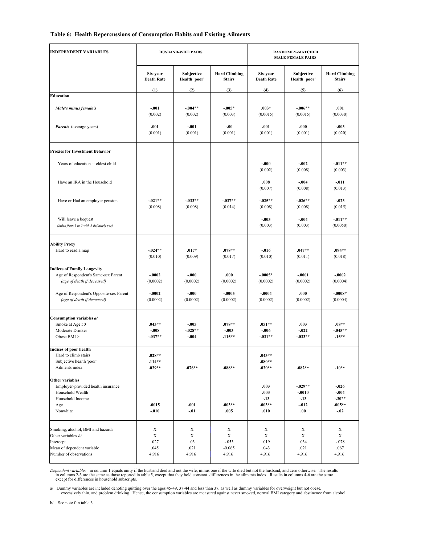#### **Table 6: Health Repercussions of Consumption Habits and Existing Ailments**

| <b>INDEPENDENT VARIABLES</b>                                                                                                 | <b>HUSBAND-WIFE PAIRS</b>        |                                                    |                                        | RANDOMLY-MATCHED<br><b>MALE-FEMALE PAIRS</b> |                                                     |                                                        |
|------------------------------------------------------------------------------------------------------------------------------|----------------------------------|----------------------------------------------------|----------------------------------------|----------------------------------------------|-----------------------------------------------------|--------------------------------------------------------|
|                                                                                                                              | Six-year<br><b>Death Rate</b>    | Subjective<br>Health 'poor'                        | <b>Hard Climbing</b><br><b>Stairs</b>  | Six-year<br><b>Death Rate</b>                | Subjective<br>Health 'poor'                         | <b>Hard Climbing</b><br><b>Stairs</b>                  |
| <b>Education</b>                                                                                                             | (1)                              | (2)                                                | (3)                                    | (4)                                          | (5)                                                 | (6)                                                    |
|                                                                                                                              |                                  |                                                    |                                        |                                              |                                                     |                                                        |
| Male's minus female's                                                                                                        | $-.001$<br>(0.002)               | $-0.04**$<br>(0.002)                               | $-0.005*$<br>(0.003)                   | $.003*$<br>(0.0015)                          | $-.006**$<br>(0.0015)                               | .001<br>(0.0030)                                       |
| <b>Parents</b> (average years)                                                                                               | .001<br>(0.001)                  | $-.001$<br>(0.001)                                 | $-.00$<br>(0.001)                      | .001<br>(0.001)                              | .000<br>(0.001)                                     | $-.003$<br>(0.020)                                     |
| <b>Proxies for Investment Behavior</b>                                                                                       |                                  |                                                    |                                        |                                              |                                                     |                                                        |
| Years of education -- eldest child                                                                                           |                                  |                                                    |                                        | $-.000$<br>(0.002)                           | $-.002$<br>(0.008)                                  | $-.011**$<br>(0.003)                                   |
| Have an IRA in the Household                                                                                                 |                                  |                                                    |                                        | .008<br>(0.007)                              | $-.004$<br>(0.008)                                  | $-.011$<br>(0.013)                                     |
| Have or Had an employer pension                                                                                              | $-.021**$<br>(0.008)             | $-0.033**$<br>(0.008)                              | $-0.37**$<br>(0.014)                   | $-0.025**$<br>(0.008)                        | $-0.026**$<br>(0.008)                               | $-.023$<br>(0.015)                                     |
| Will leave a bequest<br>(index from 1 to 5 with 5 definitely yes)                                                            |                                  |                                                    |                                        | $-.003$<br>(0.003)                           | $-.004$<br>(0.003)                                  | $-.011**$<br>(0.0050)                                  |
| <b>Ability Proxy</b><br>Hard to read a map                                                                                   | $-0.024**$<br>(0.010)            | $.017*$<br>(0.009)                                 | $.078**$<br>(0.017)                    | $-0.016$<br>(0.010)                          | $.047**$<br>(0.011)                                 | $.094**$<br>(0.018)                                    |
| <b>Indices of Family Longevity</b><br>Age of Respondent's Same-sex Parent<br>(age of death if deceased)                      | $-.0002$<br>(0.0002)             | $-.000$<br>(0.0002)                                | .000<br>(0.0002)                       | $-.0005*$<br>(0.0002)                        | $-.0001$<br>(0.0002)                                | $-.0002$<br>(0.0004)                                   |
| Age of Respondent's Opposite-sex Parent<br>(age of death if deceased)                                                        | $-.0002$<br>(0.0002)             | $-.000$<br>(0.0002)                                | $-.0005$<br>(0.0002)                   | $-.0004$<br>(0.0002)                         | .000<br>(0.0002)                                    | $-.0008*$<br>(0.0004)                                  |
| Consumption variables a/<br>Smoke at Age 50                                                                                  | $.043**$                         | $-.005$                                            | $.078**$                               | $.051**$                                     | .003                                                | $.08**$                                                |
| Moderate Drinker<br>Obese BMI >                                                                                              | $-.008$<br>$-0.37**$             | $-0.028**$<br>$-.004$                              | $-.003$<br>$.115***$                   | $-.006$<br>$-.031**$                         | $-.022$<br>$-0.33***$                               | $-0.045**$<br>$.15***$                                 |
| <b>Indices of poor health</b><br>Hard to climb stairs<br>Subjective health 'poor'<br>Ailments index                          | $.028**$<br>$.114**$<br>$.029**$ | $.076**$                                           | $.088**$                               | $.043**$<br>$.080**$<br>$.020**$             | $.082**$                                            | $.10**$                                                |
| Other variables<br>Employer-provided health insurance<br>Household Wealth<br>Household Income<br>Age<br>Nonwhite             | .0015<br>$-.010$                 | .001<br>$-.01$                                     | $.003**$<br>.005                       | .003<br>.003<br>$-.13$<br>$.003**$<br>.010   | $-.029**$<br>$-.0010$<br>$-.13$<br>$-0.012$<br>.00. | $-.026$<br>$-.004$<br>$-.30**$<br>$.005**$<br>$-.02$   |
| Smoking, alcohol, BMI and hazards<br>Other variables b/<br>Intercept<br>Mean of dependent variable<br>Number of observations | X<br>X<br>.027<br>.045<br>4,916  | $\mathbf X$<br>$\mathbf X$<br>.03<br>.021<br>4,916 | X<br>X<br>$-.053$<br>$-0.065$<br>4,916 | X<br>X<br>.019<br>.043<br>4,916              | X<br>$\mathbf X$<br>.034<br>.021<br>4,916           | $\mathbf X$<br>$\mathbf X$<br>$-.078$<br>.067<br>4,916 |

Dependent variable: in column 1 equals unity if the husband died and not the wife, minus one if the wife died but not the husband, and zero otherwise. The results in columns 2-3 are the same as those reported in table 5, e

a/ Dummy variables are included denoting quitting over the ages 45-49, 37-44 and less than 37, as well as dummy variables for overweight but not obese, excessively thin, and problem drinking. Hence, the consumption variabl

b/ See note f in table 3.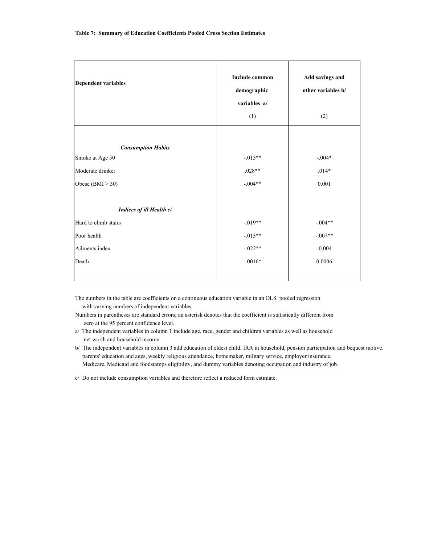| <b>Dependent variables</b> | <b>Include common</b><br>demographic<br>variables a/<br>(1) | Add savings and<br>other variables b/<br>(2) |
|----------------------------|-------------------------------------------------------------|----------------------------------------------|
|                            |                                                             |                                              |
| <b>Consumption Habits</b>  |                                                             |                                              |
| Smoke at Age 50            | $-.013**$                                                   | $-.004*$                                     |
| Moderate drinker           | $.028**$                                                    | $.014*$                                      |
| Obese $(BMI > 30)$         | $-.004**$                                                   | 0.001                                        |
|                            |                                                             |                                              |
| Indices of ill Health c/   |                                                             |                                              |
| Hard to climb stairs       | $-.019**$                                                   | $-.004**$                                    |
| Poor health                | $-0.013**$                                                  | $-.007**$                                    |
| Ailments index             | $-.022**$                                                   | $-0.004$                                     |
| Death                      | $-.0016*$                                                   | 0.0006                                       |
|                            |                                                             |                                              |

The numbers in the table are coefficients on a continuous education variable in an OLS pooled regression with varying numbers of independent variables.

- Numbers in parentheses are standard errors; an asterisk denotes that the coefficient is statistically different from zero at the 95 percent confidence level.
- a/ The independent variables in column 1 include age, race, gender and children variables as well as household net worth and household income.
- b/ The independent variables in column 3 add education of eldest child, IRA in household, pension participation and bequest motive. parents' education and ages, weekly religious attendance, homemaker, military service, employer insurance, Medicare, Medicaid and foodstamps eligibility, and dummy variables denoting occupation and industry of job.

c/ Do not include consumption variables and therefore reflect a reduced form estimate.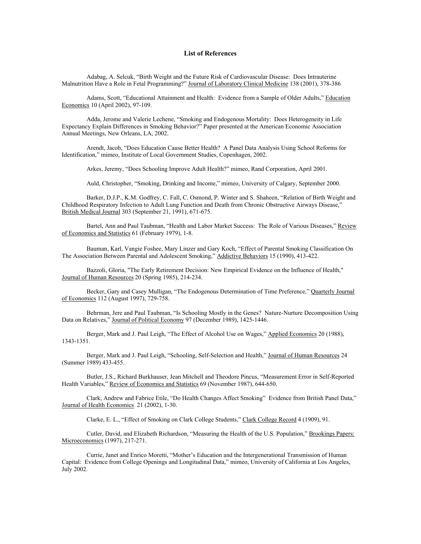#### **List of References**

Adabag, A. Selcuk, "Birth Weight and the Future Risk of Cardiovascular Disease: Does Intrauterine Malnutrition Have a Role in Fetal Programming?" Journal of Laboratory Clinical Medicine 138 (2001), 378-386

Adams, Scott, "Educational Attainment and Health: Evidence from a Sample of Older Adults," Education Economics 10 (April 2002), 97-109.

 Adda, Jerome and Valerie Lechene, "Smoking and Endogenous Mortality: Does Heterogeneity in Life Expectancy Explain Differences in Smoking Behavior?" Paper presented at the American Economic Association Annual Meetings, New Orleans, LA, 2002.

 Arendt, Jacob, "Does Education Cause Better Health? A Panel Data Analysis Using School Reforms for Identification," mimeo, Institute of Local Government Studies, Copenhagen, 2002.

Arkes, Jeremy, "Does Schooling Improve Adult Health?" mimeo, Rand Corporation, April 2001.

Auld, Christopher, "Smoking, Drinking and Income," mimeo, University of Calgary, September 2000.

Barker, D.J.P., K.M. Godfrey, C. Fall, C. Osmond, P. Winter and S. Shaheen, "Relation of Birth Weight and Childhood Respiratory Infection to Adult Lung Function and Death from Chronic Obstructive Airways Disease," British Medical Journal 303 (September 21, 1991), 671-675.

Bartel, Ann and Paul Taubman, "Health and Labor Market Success: The Role of Various Diseases," Review of Economics and Statistics 61 (February 1979), 1-8.

 Bauman, Karl, Vangie Foshee, Mary Linzer and Gary Koch, "Effect of Parental Smoking Classification On The Association Between Parental and Adolescent Smoking," Addictive Behaviors 15 (1990), 413-422.

Bazzoli, Gloria, "The Early Retirement Decision: New Empirical Evidence on the Influence of Health," Journal of Human Resources 20 (Spring 1985), 214-234.

Becker, Gary and Casey Mulligan, "The Endogenous Determination of Time Preference," Quarterly Journal of Economics 112 (August 1997), 729-758.

Behrman, Jere and Paul Taubman, "Is Schooling Mostly in the Genes? Nature-Nurture Decomposition Using Data on Relatives," Journal of Political Economy 97 (December 1989), 1425-1446.

Berger, Mark and J. Paul Leigh, "The Effect of Alcohol Use on Wages," Applied Economics 20 (1988), 1343-1351.

 Berger, Mark and J. Paul Leigh, "Schooling, Self-Selection and Health," Journal of Human Resources 24 (Summer 1989) 433-455.

Butler, J.S., Richard Burkhauser, Jean Mitchell and Theodore Pincus, "Measurement Error in Self-Reported Health Variables," Review of Economics and Statistics 69 (November 1987), 644-650.

 Clark, Andrew and Fabrice Etile, "Do Health Changes Affect Smoking" Evidence from British Panel Data," Journal of Health Economics 21 (2002), 1-30.

Clarke, E. L., "Effect of Smoking on Clark College Students," Clark College Record 4 (1909), 91.

 Cutler, David, and Elizabeth Richardson, "Measuring the Health of the U.S. Population," Brookings Papers: Microeconomics (1997), 217-271.

 Currie, Janet and Enrico Moretti, "Mother's Education and the Intergenerational Transmission of Human Capital: Evidence from College Openings and Longitudinal Data," mimeo, University of California at Los Angeles, July 2002.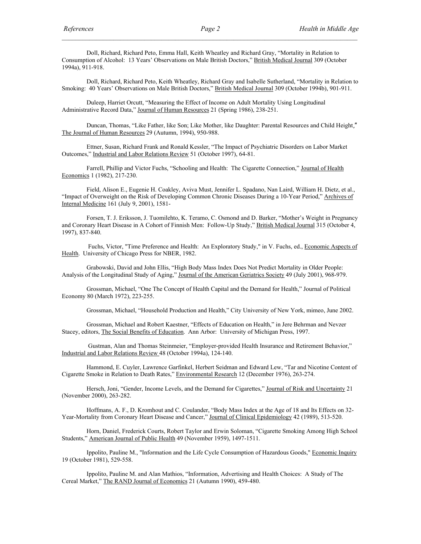Doll, Richard, Richard Peto, Emma Hall, Keith Wheatley and Richard Gray, "Mortality in Relation to Consumption of Alcohol: 13 Years' Observations on Male British Doctors," British Medical Journal 309 (October 1994a), 911-918.

 Doll, Richard, Richard Peto, Keith Wheatley, Richard Gray and Isabelle Sutherland, "Mortality in Relation to Smoking: 40 Years' Observations on Male British Doctors," British Medical Journal 309 (October 1994b), 901-911.

 Duleep, Harriet Orcutt, "Measuring the Effect of Income on Adult Mortality Using Longitudinal Administrative Record Data," Journal of Human Resources 21 (Spring 1986), 238-251.

Duncan, Thomas, "Like Father, like Son; Like Mother, like Daughter: Parental Resources and Child Height," The Journal of Human Resources 29 (Autumn, 1994), 950-988.

 Ettner, Susan, Richard Frank and Ronald Kessler, "The Impact of Psychiatric Disorders on Labor Market Outcomes," Industrial and Labor Relations Review 51 (October 1997), 64-81.

Farrell, Phillip and Victor Fuchs, "Schooling and Health: The Cigarette Connection," Journal of Health Economics 1 (1982), 217-230.

 Field, Alison E., Eugenie H. Coakley, Aviva Must, Jennifer L. Spadano, Nan Laird, William H. Dietz, et al., "Impact of Overweight on the Risk of Developing Common Chronic Diseases During a 10-Year Period," Archives of Internal Medicine 161 (July 9, 2001), 1581-

Forsen, T. J. Eriksson, J. Tuomilehto, K. Teramo, C. Osmond and D. Barker, "Mother's Weight in Pregnancy and Coronary Heart Disease in A Cohort of Finnish Men: Follow-Up Study," British Medical Journal 315 (October 4, 1997), 837-840.

 Fuchs, Victor, "Time Preference and Health: An Exploratory Study," in V. Fuchs, ed., Economic Aspects of Health. University of Chicago Press for NBER, 1982.

Grabowski, David and John Ellis, "High Body Mass Index Does Not Predict Mortality in Older People: Analysis of the Longitudinal Study of Aging," Journal of the American Geriatrics Society 49 (July 2001), 968-979.

Grossman, Michael, "One The Concept of Health Capital and the Demand for Health," Journal of Political Economy 80 (March 1972), 223-255.

Grossman, Michael, "Household Production and Health," City University of New York, mimeo, June 2002.

Grossman, Michael and Robert Kaestner, "Effects of Education on Health," in Jere Behrman and Nevzer Stacey, editors, The Social Benefits of Education. Ann Arbor: University of Michigan Press, 1997.

 Gustman, Alan and Thomas Steinmeier, "Employer-provided Health Insurance and Retirement Behavior," Industrial and Labor Relations Review 48 (October 1994a), 124-140.

Hammond, E. Cuyler, Lawrence Garfinkel, Herbert Seidman and Edward Lew, "Tar and Nicotine Content of Cigarette Smoke in Relation to Death Rates," Environmental Research 12 (December 1976), 263-274.

Hersch, Joni, "Gender, Income Levels, and the Demand for Cigarettes," Journal of Risk and Uncertainty 21 (November 2000), 263-282.

Hoffmans, A. F., D. Kromhout and C. Coulander, "Body Mass Index at the Age of 18 and Its Effects on 32- Year-Mortality from Coronary Heart Disease and Cancer," Journal of Clinical Epidemiology 42 (1989), 513-520.

 Horn, Daniel, Frederick Courts, Robert Taylor and Erwin Soloman, "Cigarette Smoking Among High School Students," American Journal of Public Health 49 (November 1959), 1497-1511.

Ippolito, Pauline M., "Information and the Life Cycle Consumption of Hazardous Goods," Economic Inquiry 19 (October 1981), 529-558.

 Ippolito, Pauline M. and Alan Mathios, "Information, Advertising and Health Choices: A Study of The Cereal Market," The RAND Journal of Economics 21 (Autumn 1990), 459-480.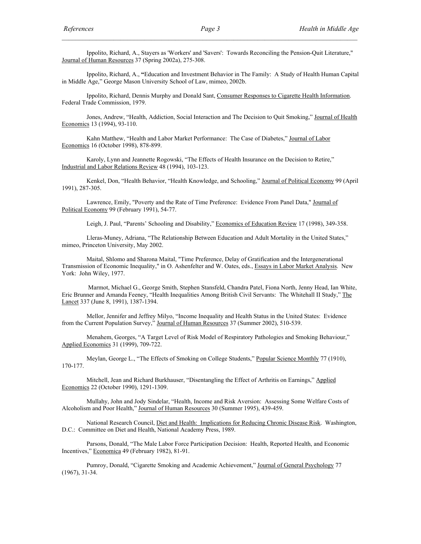Ippolito, Richard, A., Stayers as 'Workers' and 'Savers': Towards Reconciling the Pension-Quit Literature," Journal of Human Resources 37 (Spring 2002a), 275-308.

 Ippolito, Richard, A., **"**Education and Investment Behavior in The Family: A Study of Health Human Capital in Middle Age," George Mason University School of Law, mimeo, 2002b.

 Ippolito, Richard, Dennis Murphy and Donald Sant, Consumer Responses to Cigarette Health Information. Federal Trade Commission, 1979.

Jones, Andrew, "Health, Addiction, Social Interaction and The Decision to Quit Smoking," Journal of Health Economics 13 (1994), 93-110.

 Kahn Matthew, "Health and Labor Market Performance: The Case of Diabetes," Journal of Labor Economics 16 (October 1998), 878-899.

 Karoly, Lynn and Jeannette Rogowski, "The Effects of Health Insurance on the Decision to Retire," Industrial and Labor Relations Review 48 (1994), 103-123.

 Kenkel, Don, "Health Behavior, "Health Knowledge, and Schooling," Journal of Political Economy 99 (April 1991), 287-305.

Lawrence, Emily, "Poverty and the Rate of Time Preference: Evidence From Panel Data," Journal of Political Economy 99 (February 1991), 54-77.

Leigh, J. Paul, "Parents' Schooling and Disability," Economics of Education Review 17 (1998), 349-358.

Lleras-Muney, Adriana, "The Relationship Between Education and Adult Mortality in the United States," mimeo, Princeton University, May 2002.

Maital, Shlomo and Sharona Maital, "Time Preference, Delay of Gratification and the Intergenerational Transmission of Economic Inequality," in O. Ashenfelter and W. Oates, eds., Essays in Labor Market Analysis. New York: John Wiley, 1977.

 Marmot, Michael G., George Smith, Stephen Stansfeld, Chandra Patel, Fiona North, Jenny Head, Ian White, Eric Brunner and Amanda Feeney, "Health Inequalities Among British Civil Servants: The Whitehall II Study," The Lancet 337 (June 8, 1991), 1387-1394.

Mellor, Jennifer and Jeffrey Milyo, "Income Inequality and Health Status in the United States: Evidence from the Current Population Survey," Journal of Human Resources 37 (Summer 2002), 510-539.

 Menahem, Georges, "A Target Level of Risk Model of Respiratory Pathologies and Smoking Behaviour," Applied Economics 31 (1999), 709-722.

 Meylan, George L., "The Effects of Smoking on College Students," Popular Science Monthly 77 (1910), 170-177.

 Mitchell, Jean and Richard Burkhauser, "Disentangling the Effect of Arthritis on Earnings," Applied Economics 22 (October 1990), 1291-1309.

 Mullahy, John and Jody Sindelar, "Health, Income and Risk Aversion: Assessing Some Welfare Costs of Alcoholism and Poor Health," Journal of Human Resources 30 (Summer 1995), 439-459.

 National Research Council, Diet and Health: Implications for Reducing Chronic Disease Risk. Washington, D.C.: Committee on Diet and Health, National Academy Press, 1989.

 Parsons, Donald, "The Male Labor Force Participation Decision: Health, Reported Health, and Economic Incentives," Economica 49 (February 1982), 81-91.

 Pumroy, Donald, "Cigarette Smoking and Academic Achievement," Journal of General Psychology 77 (1967), 31-34.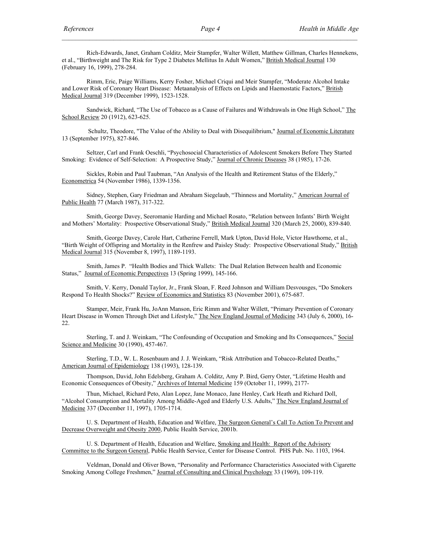Rich-Edwards, Janet, Graham Colditz, Meir Stampfer, Walter Willett, Matthew Gillman, Charles Hennekens, et al., "Birthweight and The Risk for Type 2 Diabetes Mellitus In Adult Women," British Medical Journal 130 (February 16, 1999), 278-284.

Rimm, Eric, Paige Williams, Kerry Fosher, Michael Criqui and Meir Stampfer, "Moderate Alcohol Intake and Lower Risk of Coronary Heart Disease: Metaanalysis of Effects on Lipids and Haemostatic Factors," British Medical Journal 319 (December 1999), 1523-1528.

Sandwick, Richard, "The Use of Tobacco as a Cause of Failures and Withdrawals in One High School," The School Review 20 (1912), 623-625.

Schultz, Theodore, "The Value of the Ability to Deal with Disequilibrium," Journal of Economic Literature 13 (September 1975), 827-846.

 Seltzer, Carl and Frank Oeschli, "Psychosocial Characteristics of Adolescent Smokers Before They Started Smoking: Evidence of Self-Selection: A Prospective Study," Journal of Chronic Diseases 38 (1985), 17-26.

 Sickles, Robin and Paul Taubman, "An Analysis of the Health and Retirement Status of the Elderly," Econometrica 54 (November 1986), 1339-1356.

Sidney, Stephen, Gary Friedman and Abraham Siegelaub, "Thinness and Mortality," American Journal of Public Health 77 (March 1987), 317-322.

Smith, George Davey, Seeromanie Harding and Michael Rosato, "Relation between Infants' Birth Weight and Mothers' Mortality: Prospective Observational Study," British Medical Journal 320 (March 25, 2000), 839-840.

Smith, George Davey, Carole Hart, Catherine Ferrell, Mark Upton, David Hole, Victor Hawthorne, et al., "Birth Weight of Offspring and Mortality in the Renfrew and Paisley Study: Prospective Observational Study," British Medical Journal 315 (November 8, 1997), 1189-1193.

Smith, James P. "Health Bodies and Thick Wallets: The Dual Relation Between health and Economic Status," Journal of Economic Perspectives 13 (Spring 1999), 145-166.

 Smith, V. Kerry, Donald Taylor, Jr., Frank Sloan, F. Reed Johnson and William Desvousges, "Do Smokers Respond To Health Shocks?" Review of Economics and Statistics 83 (November 2001), 675-687.

 Stamper, Meir, Frank Hu, JoAnn Manson, Eric Rimm and Walter Willett, "Primary Prevention of Coronary Heart Disease in Women Through Diet and Lifestyle," The New England Journal of Medicine 343 (July 6, 2000), 16-22.

Sterling, T. and J. Weinkam, "The Confounding of Occupation and Smoking and Its Consequences," Social Science and Medicine 30 (1990), 457-467.

Sterling, T.D., W. L. Rosenbaum and J. J. Weinkam, "Risk Attribution and Tobacco-Related Deaths," American Journal of Epidemiology 138 (1993), 128-139.

Thompson, David, John Edelsberg, Graham A. Colditz, Amy P. Bird, Gerry Oster, "Lifetime Health and Economic Consequences of Obesity," Archives of Internal Medicine 159 (October 11, 1999), 2177-

 Thun, Michael, Richard Peto, Alan Lopez, Jane Monaco, Jane Henley, Cark Heath and Richard Doll, "Alcohol Consumption and Mortality Among Middle-Aged and Elderly U.S. Adults," The New England Journal of Medicine 337 (December 11, 1997), 1705-1714.

U. S. Department of Health, Education and Welfare, The Surgeon General's Call To Action To Prevent and Decrease Overweight and Obesity 2000, Public Health Service, 2001b.

 U. S. Department of Health, Education and Welfare, Smoking and Health: Report of the Advisory Committee to the Surgeon General, Public Health Service, Center for Disease Control. PHS Pub. No. 1103, 1964.

 Veldman, Donald and Oliver Bown, "Personality and Performance Characteristics Associated with Cigarette Smoking Among College Freshmen," Journal of Consulting and Clinical Psychology 33 (1969), 109-119.